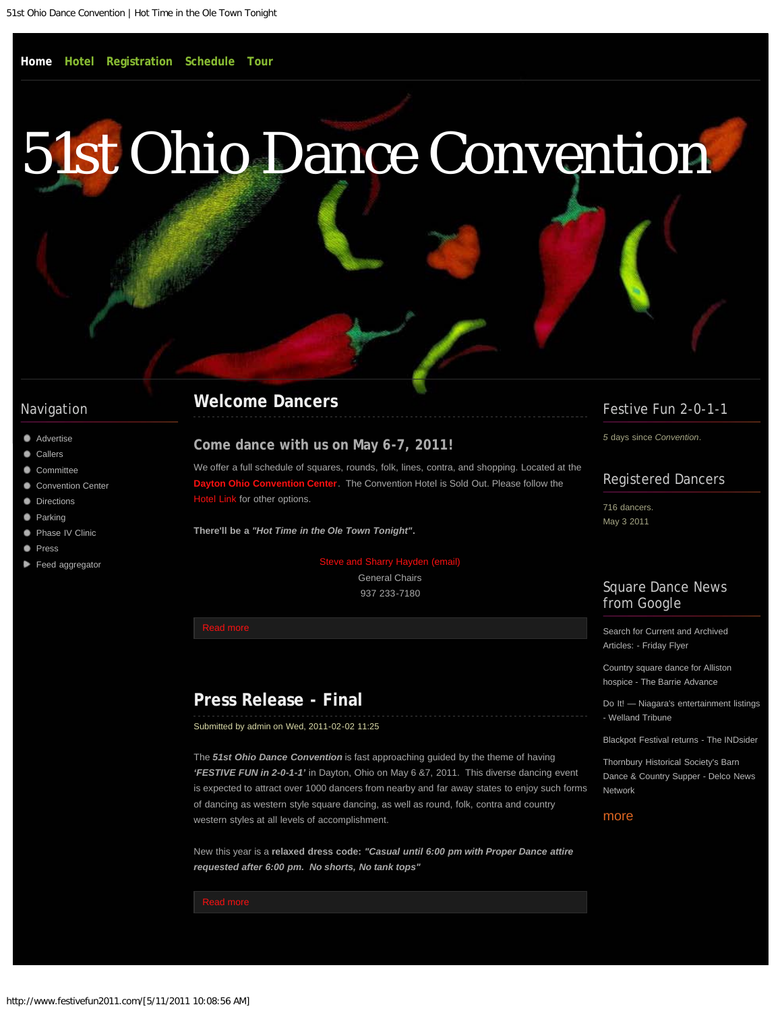# <span id="page-0-0"></span>[51st Ohio Dance Convention](#page-0-0)

### Navigation

- **[Advertise](#page-8-0)**
- **[Callers](#page-10-0)**
- [Committee](#page-12-0)
- [Convention Center](#page-14-0)
- **[Directions](#page-16-0)**
- **[Parking](#page-18-0)**
- [Phase IV Clinic](#page-19-0)
- **[Press](#page-21-0)**
- [Feed aggregator](#page-23-0)

# **[Welcome Dancers](#page-26-0)**

#### **Come dance with us on May 6-7, 2011!**

We offer a full schedule of squares, rounds, folk, lines, contra, and shopping. Located at the **ton Ohio Convention Center**. The Convention Hotel is Sold Out. Please follow the [Hotel Link](#page-2-0) for other options.

**There'll be a** *"Hot Time in the Ole Town Tonight"***.**

#### e and Sharry Hayden (email)

General Chairs 937 233-7180

# **[Press Release - Final](#page-21-0)**

Submitted by admin on Wed, 2011-02-02 11:25

The *51st Ohio Dance Convention* is fast approaching guided by the theme of having *'FESTIVE FUN in 2-0-1-1'* in Dayton, Ohio on May 6 &7, 2011. This diverse dancing event is expected to attract over 1000 dancers from nearby and far away states to enjoy such forms of dancing as western style square dancing, as well as round, folk, contra and country western styles at all levels of accomplishment.

New this year is a **relaxed dress code:** *"Casual until 6:00 pm with Proper Dance attire requested after 6:00 pm. No shorts, No tank tops"*

## Festive Fun 2-0-1-1

*5* days since *Convention*.

### Registered Dancers

716 dancers. May 3 2011

### Square Dance News from Google

[Search for Current and Archived](http://news.google.com/news/url?sa=t&fd=R&usg=AFQjCNG2lOtpTmT9Oq6pm8LQ0wWbWsOo-A&url=http://www.thefridayflyer.com/FF-2010-10-29/FFS-15736.htm) [Articles: - Friday Flyer](http://news.google.com/news/url?sa=t&fd=R&usg=AFQjCNG2lOtpTmT9Oq6pm8LQ0wWbWsOo-A&url=http://www.thefridayflyer.com/FF-2010-10-29/FFS-15736.htm)

[Country square dance for Alliston](http://news.google.com/news/url?sa=t&fd=R&usg=AFQjCNFCt1ggf6lEdESdhaqHQBkf5GHdew&url=http://www.simcoe.com/what) [hospice - The Barrie Advance](http://news.google.com/news/url?sa=t&fd=R&usg=AFQjCNFCt1ggf6lEdESdhaqHQBkf5GHdew&url=http://www.simcoe.com/what)

[Do It! — Niagara's entertainment listings](http://news.google.com/news/url?sa=t&fd=R&usg=AFQjCNE1jhetHZ4BR417cVEIjm-wAF69AA&url=http://www.wellandtribune.ca/ArticleDisplay.aspx?e%3D2821357) [- Welland Tribune](http://news.google.com/news/url?sa=t&fd=R&usg=AFQjCNE1jhetHZ4BR417cVEIjm-wAF69AA&url=http://www.wellandtribune.ca/ArticleDisplay.aspx?e%3D2821357)

[Blackpot Festival returns - The INDsider](http://news.google.com/news/url?sa=t&fd=R&usg=AFQjCNHEYW9Y7QMDiYuK4YwmboXS_WN3YQ&url=http://www.theind.com/arts-a-entertainment/86-aae/7188-blackpot-festival-returns)

[Thornbury Historical Society's Barn](http://news.google.com/news/url?sa=t&fd=R&usg=AFQjCNHNMJM7tbuFpN5fLMT6uYCMHSMuWQ&url=http://www.delconewsnetwork.com/articles/2010/10/27/garnet_valley_press/news/doc4cb49944cb675933311093.txt) [Dance & Country Supper - Delco News](http://news.google.com/news/url?sa=t&fd=R&usg=AFQjCNHNMJM7tbuFpN5fLMT6uYCMHSMuWQ&url=http://www.delconewsnetwork.com/articles/2010/10/27/garnet_valley_press/news/doc4cb49944cb675933311093.txt) [Network](http://news.google.com/news/url?sa=t&fd=R&usg=AFQjCNHNMJM7tbuFpN5fLMT6uYCMHSMuWQ&url=http://www.delconewsnetwork.com/articles/2010/10/27/garnet_valley_press/news/doc4cb49944cb675933311093.txt)

#### [more](http://www.festivefun2011.com/aggregator/sources/1)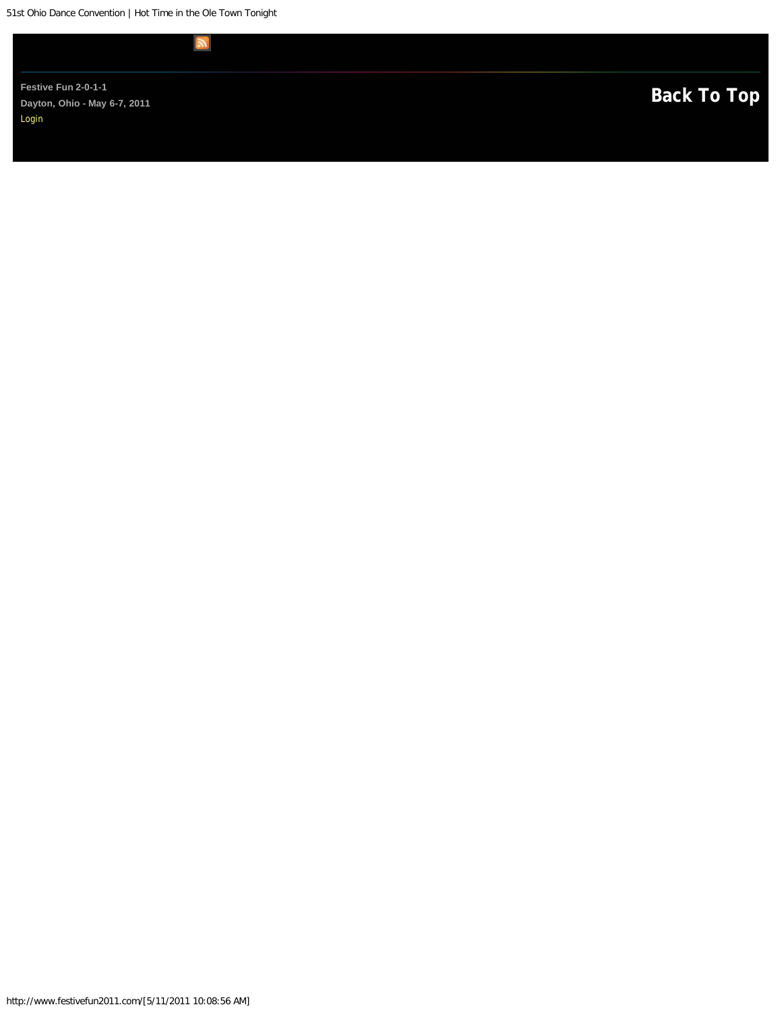51st Ohio Dance Convention | Hot Time in the Ole Town Tonight

 $\mathbb{R}$ 

Festive Fun 2-0-1-1<br>Dayton, Ohio - May 6-7, 2011 **Dayton, Ohio - May 6-7, 2011**  [Login](#page-28-0)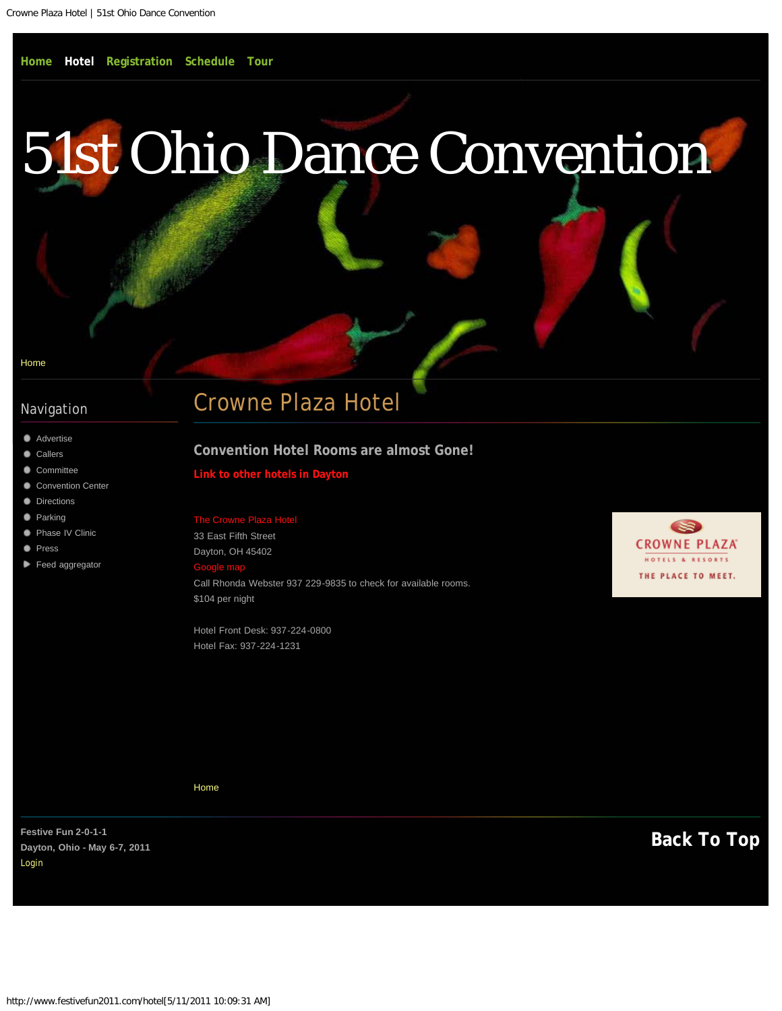#### <span id="page-2-1"></span><span id="page-2-0"></span>[Home](#page-0-0)

### Navigation

- **[Advertise](#page-8-0)**
- **[Callers](#page-10-0)**
- [Committee](#page-12-0)
- [Convention Center](#page-14-0)
- **[Directions](#page-16-0)**
- **[Parking](#page-18-0)**
- **[Phase IV Clinic](#page-19-0)**
- **[Press](#page-21-0)**
- [Feed aggregator](#page-23-0)

# Crowne Plaza Hotel

#### **Convention Hotel Rooms are almost Gone!**

#### **[Link to other hotels in Dayton](http://www.daytoncvb.com/where-to-stay/)**

33 East Fifth Street Dayton, OH 45402 [Google map](http://maps.google.com/maps?q=33+East+Fifth+Street+Dayton,+OH+45402&oe=utf-8&um=1&ie=UTF-8&hq=&hnear=33+E+5th+St,+Dayton,+OH+45402&gl=us&daddr=33%20E%205th%20St,%20Dayton,%20OH%2045402&ei=5YxITc6aKYXfgQeq66SwBg&sa=X&oi=geocode_result&ct=directions-to&resnum=1&ved=0CBUQwwUwAA) Call Rhonda Webster 937 229-9835 to check for available rooms. \$104 per night

Hotel Front Desk: 937-224-0800 Hotel Fax: 937-224-1231



[Home](#page-0-0)

Festive Fun 2-0-1-1<br>Davton, Objo - May 6-7, 2011 **Dayton, Ohio - May 6-7, 2011**  [Login](#page-28-0)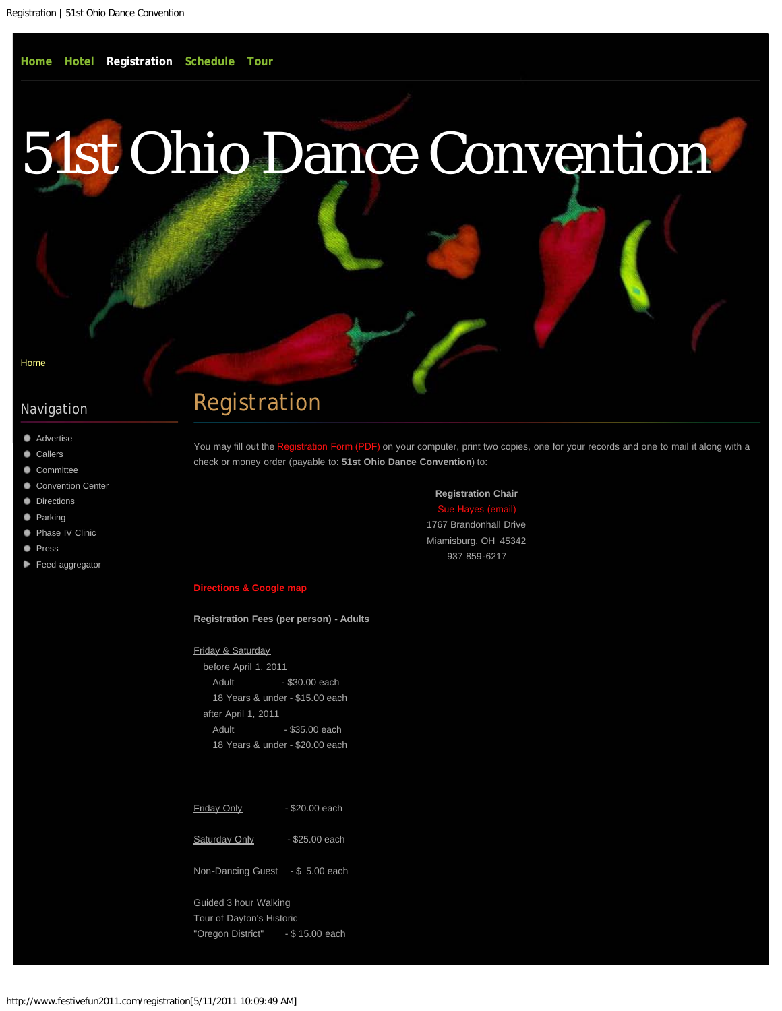<span id="page-3-0"></span>[Home](#page-0-0)

## Navigation

- **[Advertise](#page-8-0)**
- **[Callers](#page-10-0)**
- [Committee](#page-12-0)
- [Convention Center](#page-14-0)
- **[Directions](#page-16-0)**
- **[Parking](#page-18-0)**
- **[Phase IV Clinic](#page-19-0)**
- **[Press](#page-21-0)**
- [Feed aggregator](#page-23-0)

# Registration

You may fill out the [Registration Form \(PDF\)](http://www.festivefun2011.com/sites/all/files/registration/2011-registration-form.pdf) on your computer, print two copies, one for your records and one to mail it along with a check or money order (payable to: **51st Ohio Dance Convention**) to:

> **Registration Chair** Sue Hayes (en 1767 Brandonhall Drive Miamisburg, OH 45342

> > 937 859-6217

#### **[Directions & Google map](#page-16-0)**

**Registration Fees (per person) - Adults**

Friday & Saturday

 before April 1, 2011 Adult - \$30.00 each 18 Years & under - \$15.00 each after April 1, 2011 Adult - \$35.00 each 18 Years & under - \$20.00 each

| <b>Friday Only</b>               | $-$ \$20.00 each |
|----------------------------------|------------------|
| <b>Saturday Only</b>             | - \$25.00 each   |
| Non-Dancing Guest - \$ 5.00 each |                  |

Guided 3 hour Walking Tour of Dayton's Historic "Oregon District" - \$ 15.00 each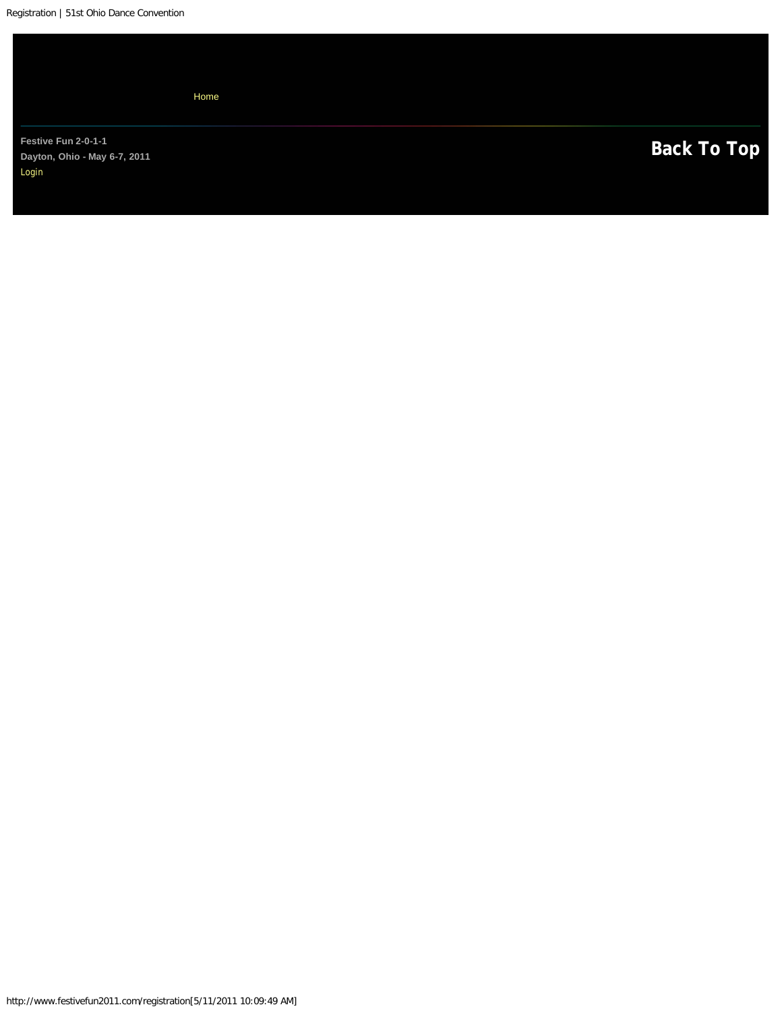<span id="page-4-0"></span>[Home](#page-0-0)

Festive Fun 2-0-1-1<br>
Dayton, Ohio - May 6-7, 2011 **Dayton, Ohio - May 6-7, 2011**  [Login](#page-28-0)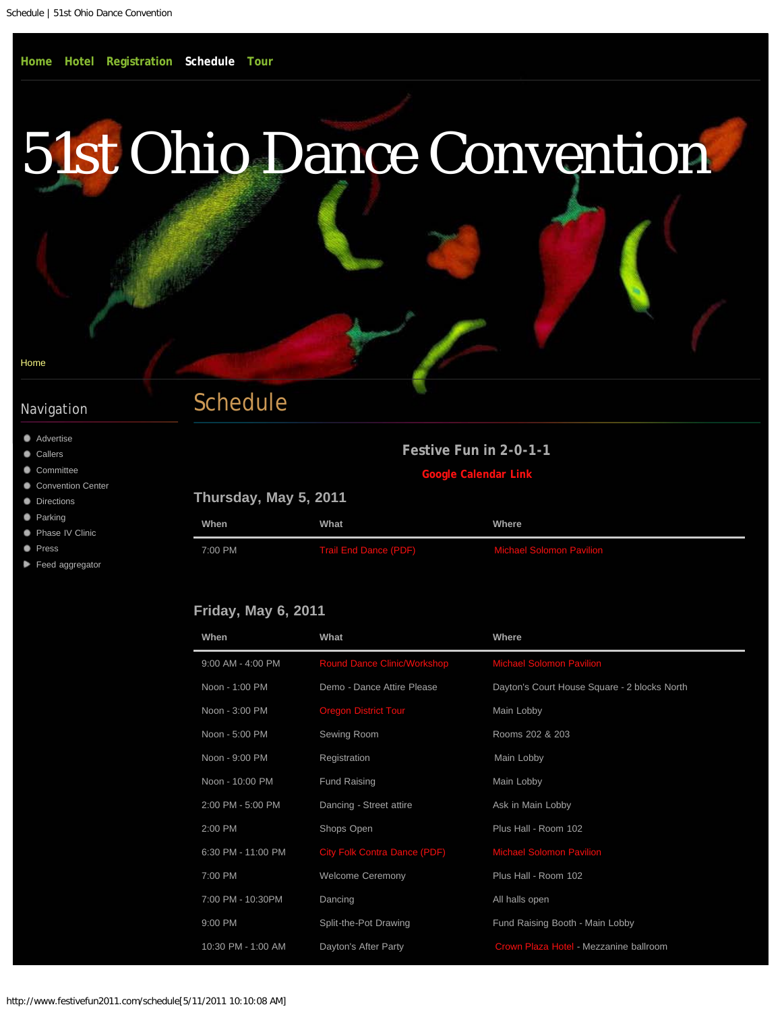#### <span id="page-5-0"></span>[Home](#page-0-0)

## Navigation

- **[Advertise](#page-8-0)**
- **[Callers](#page-10-0)**
- [Committee](#page-12-0)
- [Convention Center](#page-14-0)
- **[Directions](#page-16-0)**
- **[Parking](#page-18-0)**
- **[Phase IV Clinic](#page-19-0)**
- **[Press](#page-21-0)**
- [Feed aggregator](#page-23-0)

# Schedule

| Festive Fun in 2-0-1-1 |  |  |
|------------------------|--|--|
|                        |  |  |
|                        |  |  |

**[Google Calendar Link](https://www.google.com/calendar/embed?src=dqulunfv65h7ve9kmcp38ll9cg%40group.calendar.google.com&ctz=America/New_York%20)**

| When    | What                         | Where                           |
|---------|------------------------------|---------------------------------|
| 7:00 PM | <b>Trail End Dance (PDF)</b> | <b>Michael Solomon Pavilion</b> |

## **Friday, May 6, 2011**

| When               | What                                | Where                                        |
|--------------------|-------------------------------------|----------------------------------------------|
| 9:00 AM - 4:00 PM  | Round Dance Clinic/Workshop         | <b>Michael Solomon Pavilion</b>              |
| Noon - 1:00 PM     | Demo - Dance Attire Please          | Dayton's Court House Square - 2 blocks North |
| Noon - 3:00 PM     | <b>Oregon District Tour</b>         | Main Lobby                                   |
| Noon - 5:00 PM     | Sewing Room                         | Rooms 202 & 203                              |
| Noon - 9:00 PM     | Registration                        | Main Lobby                                   |
| Noon - 10:00 PM    | <b>Fund Raising</b>                 | Main Lobby                                   |
| 2:00 PM - 5:00 PM  | Dancing - Street attire             | Ask in Main Lobby                            |
| 2:00 PM            | Shops Open                          | Plus Hall - Room 102                         |
| 6:30 PM - 11:00 PM | <b>City Folk Contra Dance (PDF)</b> | <b>Michael Solomon Pavilion</b>              |
| 7:00 PM            | <b>Welcome Ceremony</b>             | Plus Hall - Room 102                         |
| 7:00 PM - 10:30PM  | Dancing                             | All halls open                               |
| 9:00 PM            | Split-the-Pot Drawing               | Fund Raising Booth - Main Lobby              |
| 10:30 PM - 1:00 AM | Dayton's After Party                | Crown Plaza Hotel - Mezzanine ballroom       |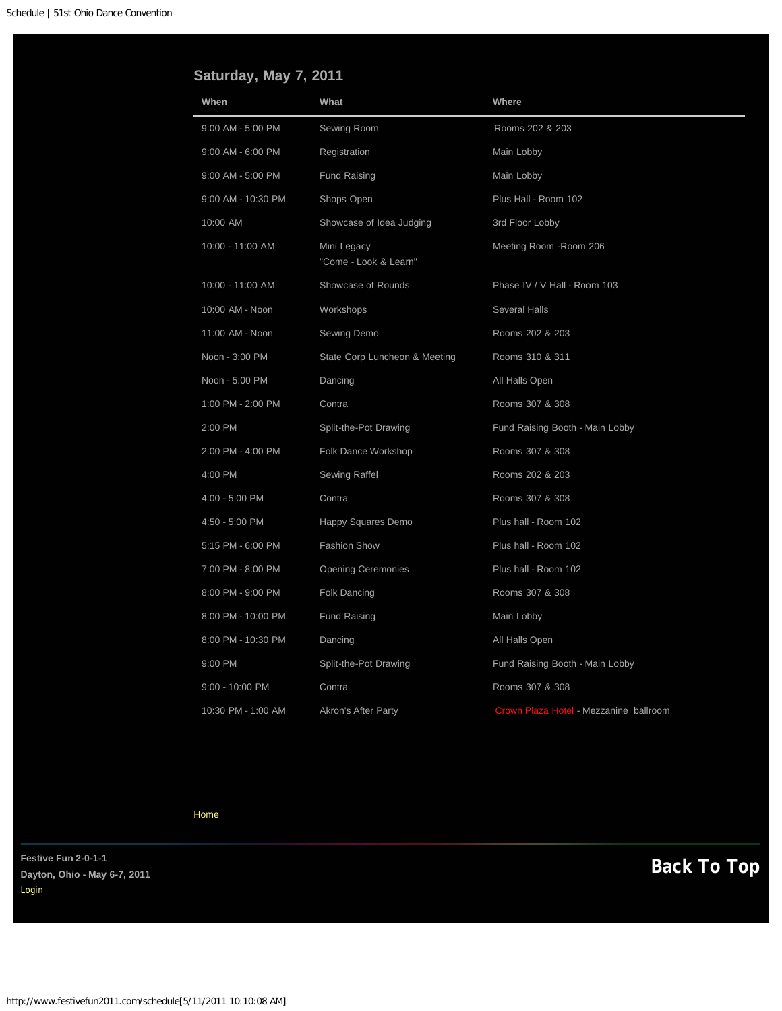# <span id="page-6-0"></span>**Saturday, May 7, 2011**

| When               | What                                 | Where                                  |
|--------------------|--------------------------------------|----------------------------------------|
| 9:00 AM - 5:00 PM  | Sewing Room                          | Rooms 202 & 203                        |
| 9:00 AM - 6:00 PM  | Registration                         | Main Lobby                             |
| 9:00 AM - 5:00 PM  | <b>Fund Raising</b>                  | Main Lobby                             |
| 9:00 AM - 10:30 PM | Shops Open                           | Plus Hall - Room 102                   |
| 10:00 AM           | Showcase of Idea Judging             | 3rd Floor Lobby                        |
| 10:00 - 11:00 AM   | Mini Legacy<br>"Come - Look & Learn" | Meeting Room - Room 206                |
| 10:00 - 11:00 AM   | Showcase of Rounds                   | Phase IV / V Hall - Room 103           |
| 10:00 AM - Noon    | Workshops                            | <b>Several Halls</b>                   |
| 11:00 AM - Noon    | Sewing Demo                          | Rooms 202 & 203                        |
| Noon - 3:00 PM     | State Corp Luncheon & Meeting        | Rooms 310 & 311                        |
| Noon - 5:00 PM     | Dancing                              | All Halls Open                         |
| 1:00 PM - 2:00 PM  | Contra                               | Rooms 307 & 308                        |
| 2:00 PM            | Split-the-Pot Drawing                | Fund Raising Booth - Main Lobby        |
| 2:00 PM - 4:00 PM  | Folk Dance Workshop                  | Rooms 307 & 308                        |
| 4:00 PM            | Sewing Raffel                        | Rooms 202 & 203                        |
| 4:00 - 5:00 PM     | Contra                               | Rooms 307 & 308                        |
| 4:50 - 5:00 PM     | Happy Squares Demo                   | Plus hall - Room 102                   |
| 5:15 PM - 6:00 PM  | <b>Fashion Show</b>                  | Plus hall - Room 102                   |
| 7:00 PM - 8:00 PM  | <b>Opening Ceremonies</b>            | Plus hall - Room 102                   |
| 8:00 PM - 9:00 PM  | <b>Folk Dancing</b>                  | Rooms 307 & 308                        |
| 8:00 PM - 10:00 PM | <b>Fund Raising</b>                  | Main Lobby                             |
| 8:00 PM - 10:30 PM | Dancing                              | All Halls Open                         |
| 9:00 PM            | Split-the-Pot Drawing                | Fund Raising Booth - Main Lobby        |
| 9:00 - 10:00 PM    | Contra                               | Rooms 307 & 308                        |
| 10:30 PM - 1:00 AM | <b>Akron's After Party</b>           | Crown Plaza Hotel - Mezzanine ballroom |

[Home](#page-0-0)

Festive Fun 2-0-1-1<br>Davton, Ohio - May 6-7, 2011 **Dayton, Ohio - May 6-7, 2011**  [Login](#page-28-0)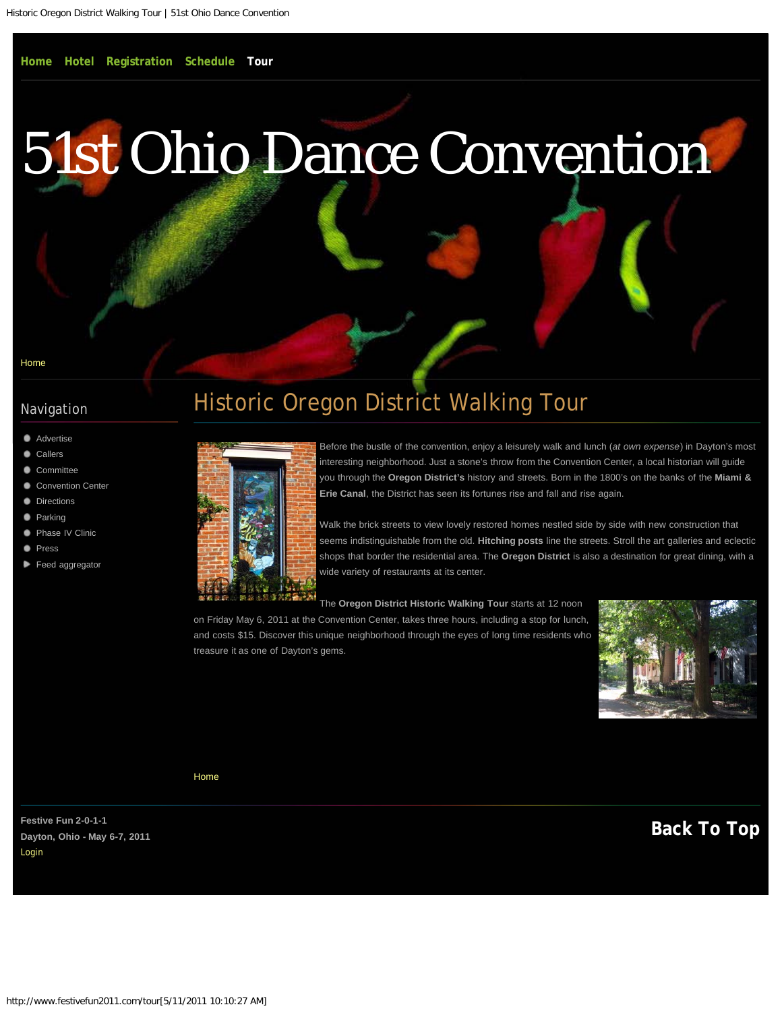# <span id="page-7-1"></span><span id="page-7-0"></span>[51st Ohio Dance Convention](#page-0-0)

[Home](#page-0-0)

## Navigation

- **[Advertise](#page-8-0)**
- **[Callers](#page-10-0)**
- [Committee](#page-12-0)
- [Convention Center](#page-14-0)
- **[Directions](#page-16-0)**
- **[Parking](#page-18-0)**
- [Phase IV Clinic](#page-19-0)
- **[Press](#page-21-0)**
- [Feed aggregator](#page-23-0)

# Historic Oregon District Walking Tour



Before the bustle of the convention, enjoy a leisurely walk and lunch (*at own expense*) in Dayton's most interesting neighborhood. Just a stone's throw from the Convention Center, a local historian will guide you through the **Oregon District's** history and streets. Born in the 1800's on the banks of the **Miami & Erie Canal**, the District has seen its fortunes rise and fall and rise again.

Walk the brick streets to view lovely restored homes nestled side by side with new construction that seems indistinguishable from the old. **Hitching posts** line the streets. Stroll the art galleries and eclectic shops that border the residential area. The **Oregon District** is also a destination for great dining, with a wide variety of restaurants at its center.

The **Oregon District Historic Walking Tour** starts at 12 noon on Friday May 6, 2011 at the Convention Center, takes three hours, including a stop for lunch, and costs \$15. Discover this unique neighborhood through the eyes of long time residents who treasure it as one of Dayton's gems.



[Home](#page-0-0)

**[Back To Top](#page-7-1) Festive Fun 2-0-1-1 Dayton, Ohio - May 6-7, 2011**  [Login](#page-28-0)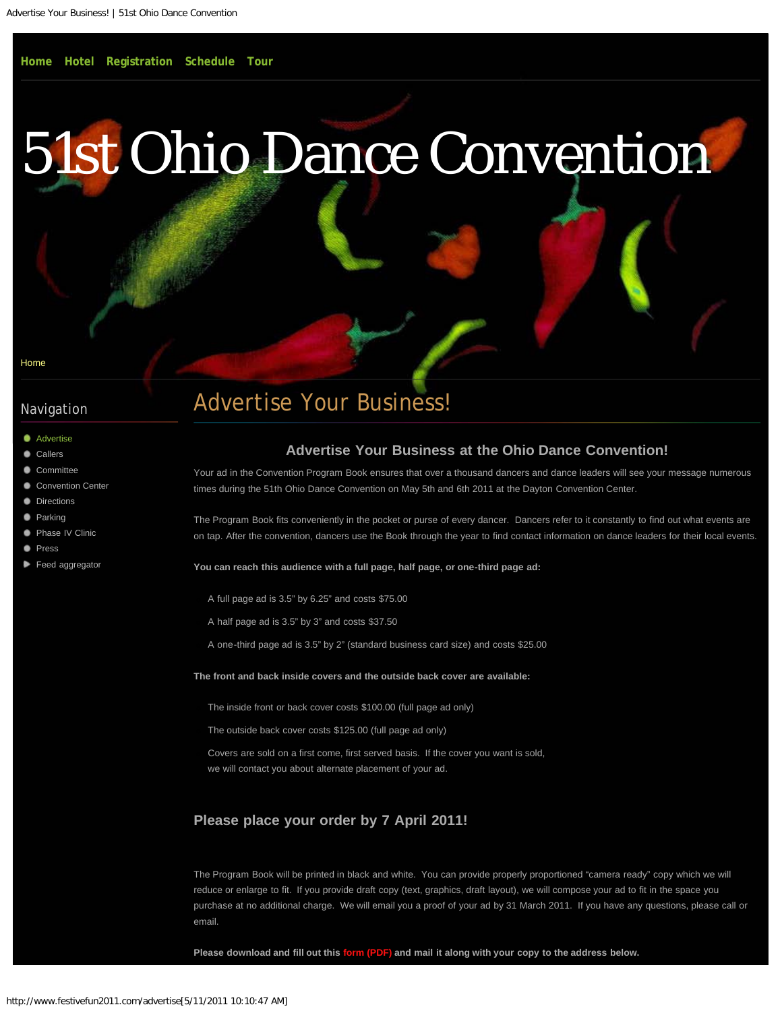# <span id="page-8-0"></span>[51st Ohio Dance Convention](#page-0-0)

[Home](#page-0-0)

## Navigation

- **[Advertise](#page-8-0)**
- [Callers](#page-10-0)
- [Committee](#page-12-0)
- [Convention Center](#page-14-0)
- **[Directions](#page-16-0)**
- **[Parking](#page-18-0)**
- [Phase IV Clinic](#page-19-0)
- **[Press](#page-21-0)**
- [Feed aggregator](#page-23-0)

# Advertise Your Business!

### **Advertise Your Business at the Ohio Dance Convention!**

Your ad in the Convention Program Book ensures that over a thousand dancers and dance leaders will see your message numerous times during the 51th Ohio Dance Convention on May 5th and 6th 2011 at the Dayton Convention Center.

The Program Book fits conveniently in the pocket or purse of every dancer. Dancers refer to it constantly to find out what events are on tap. After the convention, dancers use the Book through the year to find contact information on dance leaders for their local events.

**You can reach this audience with a full page, half page, or one-third page ad:**

- A full page ad is 3.5" by 6.25" and costs \$75.00
- A half page ad is 3.5" by 3" and costs \$37.50
- A one-third page ad is 3.5" by 2" (standard business card size) and costs \$25.00

**The front and back inside covers and the outside back cover are available:**

The inside front or back cover costs \$100.00 (full page ad only)

The outside back cover costs \$125.00 (full page ad only)

Covers are sold on a first come, first served basis. If the cover you want is sold, we will contact you about alternate placement of your ad.

## **Please place your order by 7 April 2011!**

The Program Book will be printed in black and white. You can provide properly proportioned "camera ready" copy which we will reduce or enlarge to fit. If you provide draft copy (text, graphics, draft layout), we will compose your ad to fit in the space you purchase at no additional charge. We will email you a proof of your ad by 31 March 2011. If you have any questions, please call or email.

**Please download and fill out this [form \(PDF\)](http://www.festivefun2011.com/sites/default/files/pdf/ad-order-form-2011.pdf) and mail it along with your copy to the address below.**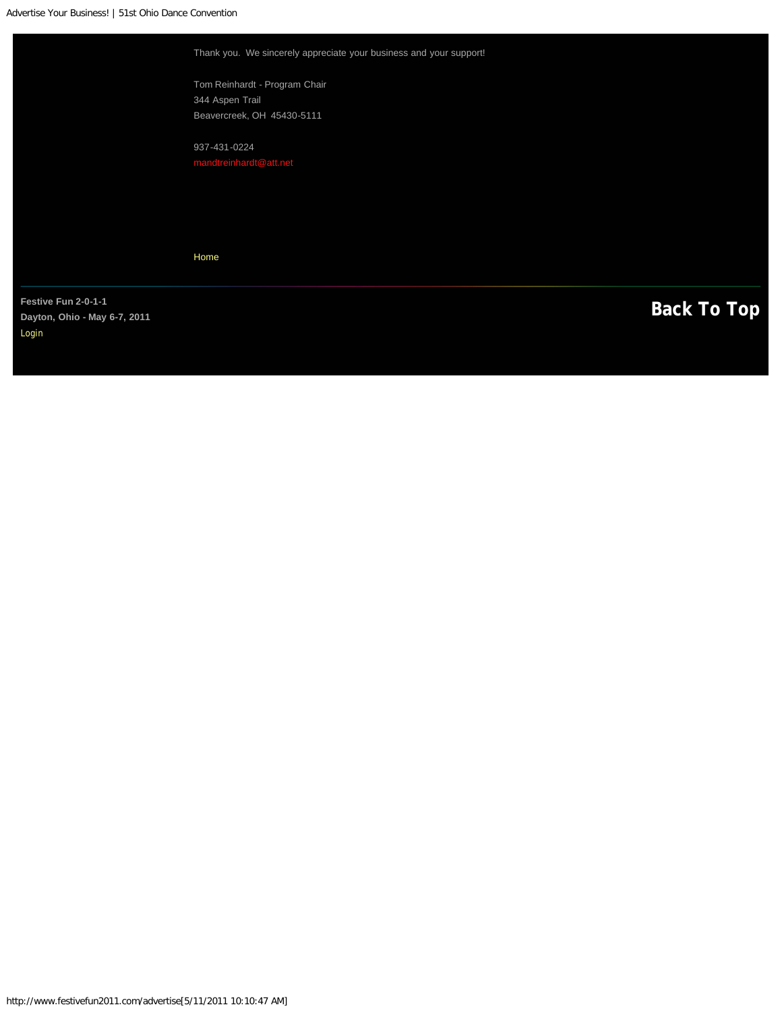Advertise Your Business! | 51st Ohio Dance Convention

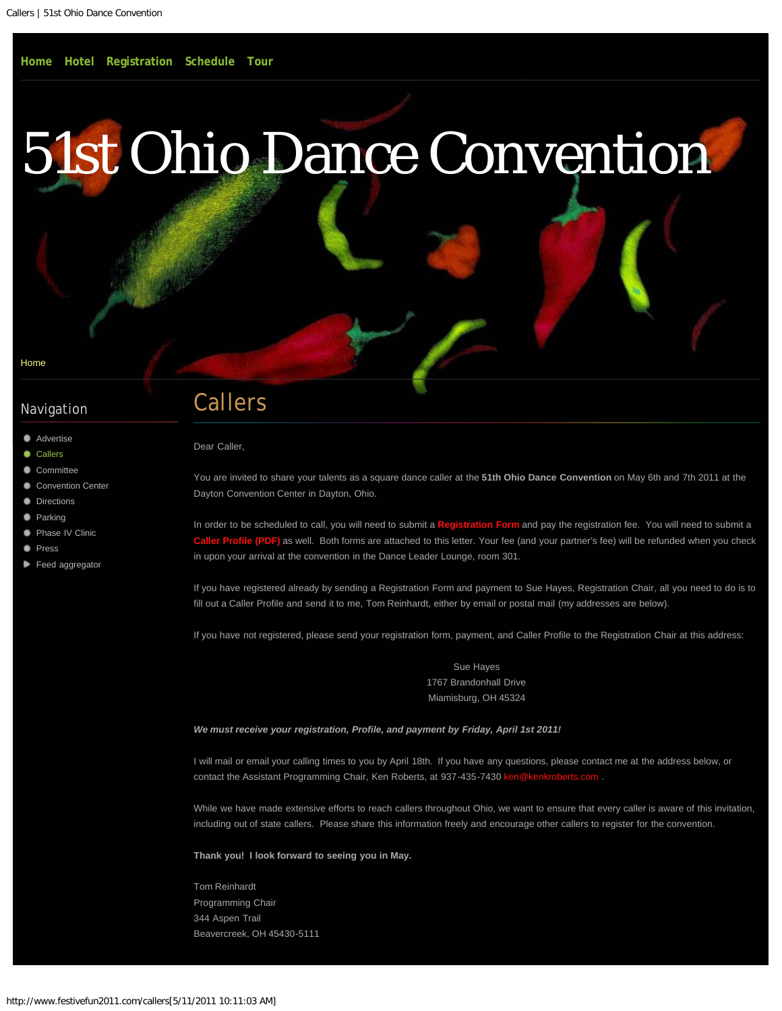<span id="page-10-0"></span>[Home](#page-0-0)

## Navigation

- **[Advertise](#page-8-0)**
- **[Callers](#page-10-0)**
- [Committee](#page-12-0)
- [Convention Center](#page-14-0)
- **[Directions](#page-16-0)**
- **[Parking](#page-18-0)**
- [Phase IV Clinic](#page-19-0)
- **[Press](#page-21-0)**
- [Feed aggregator](#page-23-0)

# Callers

Dear Caller,

You are invited to share your talents as a square dance caller at the **51th Ohio Dance Convention** on May 6th and 7th 2011 at the Dayton Convention Center in Dayton, Ohio.

In order to be scheduled to call, you will need to submit a **[Registration Form](#page-3-0)** and pay the registration fee. You will need to submit a **[Caller Profile \(PDF\)](http://www.festivefun2011.com/sites/default/files/pdf/2011-caller-profile.pdf)** as well. Both forms are attached to this letter. Your fee (and your partner's fee) will be refunded when you check in upon your arrival at the convention in the Dance Leader Lounge, room 301.

If you have registered already by sending a Registration Form and payment to Sue Hayes, Registration Chair, all you need to do is to fill out a Caller Profile and send it to me, Tom Reinhardt, either by email or postal mail (my addresses are below).

If you have not registered, please send your registration form, payment, and Caller Profile to the Registration Chair at this address:

Sue Hayes 1767 Brandonhall Drive Miamisburg, OH 45324

#### *We must receive your registration, Profile, and payment by Friday, April 1st 2011!*

I will mail or email your calling times to you by April 18th. If you have any questions, please contact me at the address below, or contact the Assistant Programming Chair, Ken Roberts, at 937-435-7430 ken

While we have made extensive efforts to reach callers throughout Ohio, we want to ensure that every caller is aware of this invitation, including out of state callers. Please share this information freely and encourage other callers to register for the convention.

**Thank you! I look forward to seeing you in May.**

Tom Reinhardt Programming Chair 344 Aspen Trail Beavercreek, OH 45430-5111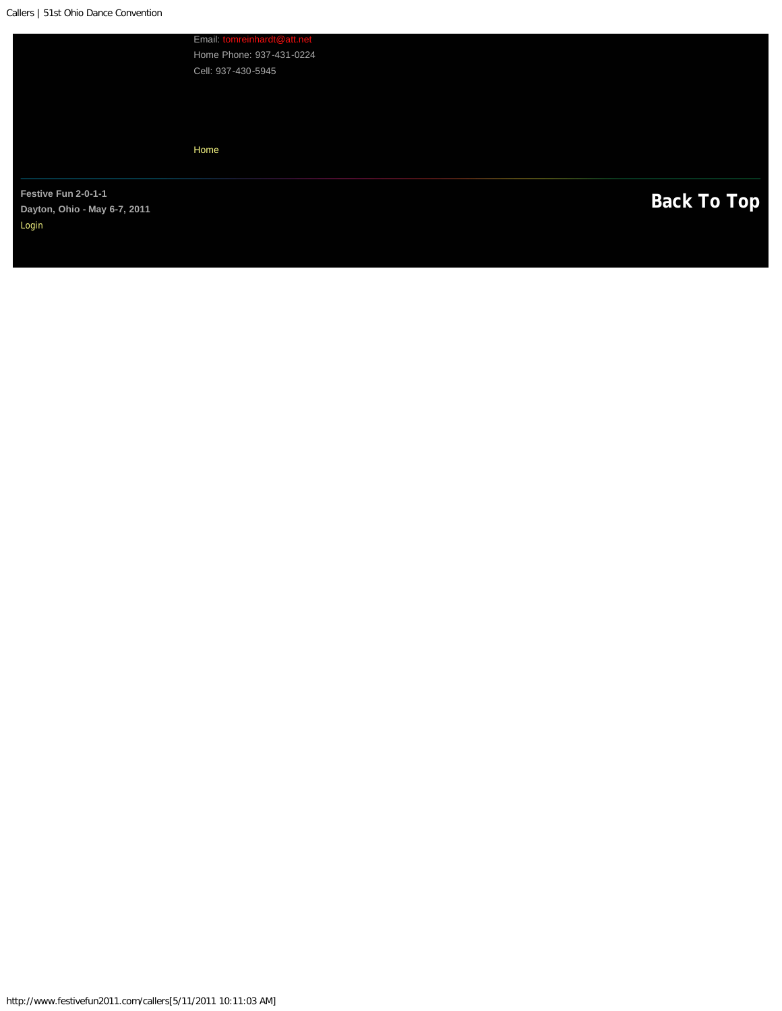<span id="page-11-0"></span>Email: Home Phone: 937-431-0224 Cell: 937-430-5945

[Home](#page-0-0)

Festive Fun 2-0-1-1<br>
Dayton, Ohio - May 6-7, 2011 **Dayton, Ohio - May 6-7, 2011**  [Login](#page-28-0)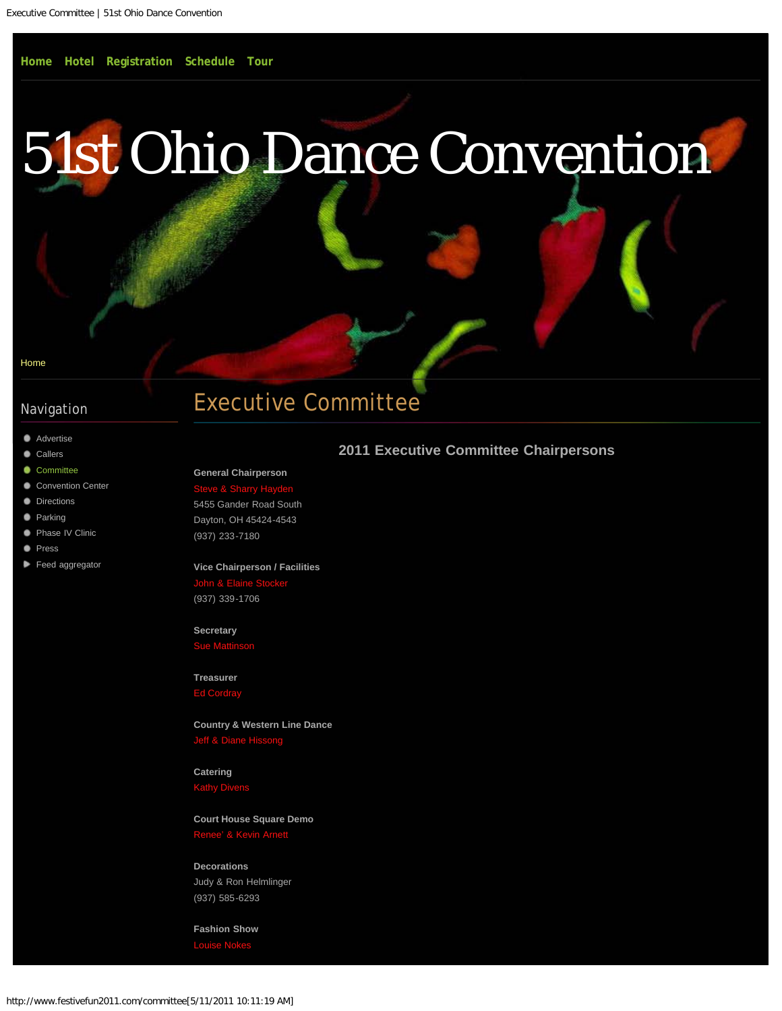#### <span id="page-12-0"></span>[Home](#page-0-0)

### Navigation

- **[Advertise](#page-8-0)**
- **[Callers](#page-10-0)**
- [Committee](#page-12-0)
- [Convention Center](#page-14-0)
- **[Directions](#page-16-0)**
- **[Parking](#page-18-0)**
- **[Phase IV Clinic](#page-19-0)**
- **[Press](#page-21-0)**
- [Feed aggregator](#page-23-0)

# Executive Committee

#### **2011 Executive Committee Chairpersons**

#### **General Chairperson** Steve & Sharry Hay

5455 Gander Road South Dayton, OH 45424-4543 (937) 233-7180

#### **Vice Chairperson / Facilities**

John & Ela (937) 339-1706

## **Secretary**

[Sue Mattinson](mailto:msvanwin03@yahoo.com?subject=2011%20Web%3A%20)

**Treasurer**

**Country & Western Line Dance**  $left & D$ 

#### **Catering** [Kathy Divens](mailto:lazygolden1@aol.com?subject=2011%20Web%3A%20)

## **Court House Square Demo**

Renee' & Kevin Arne

#### **Decorations**

Judy & Ron Helmlinger (937) 585-6293

**Fashion Show**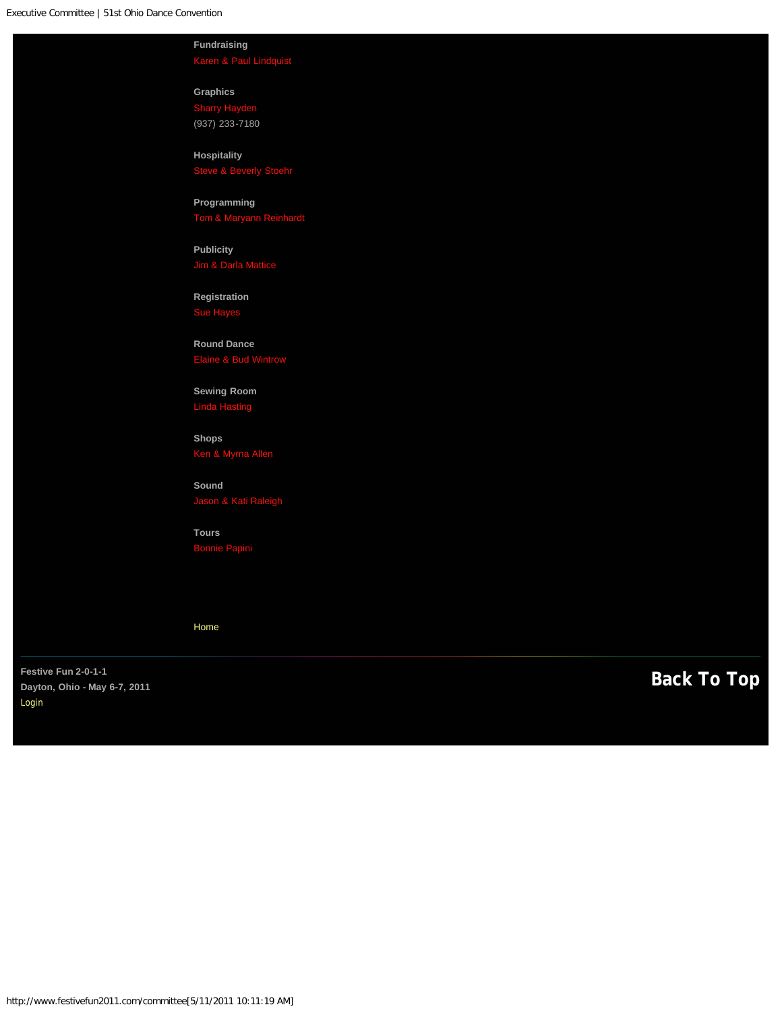<span id="page-13-0"></span>**Fundraising** [Karen & Paul Lindquist](mailto:pksqdancers@msn.com?subject=2011%20Web%3A%20)

**Graphics**  [Sharry Hayden](mailto:sharry@Haydeninc.com?subject=2011%20Web%3A%20) (937) 233-7180

**Hospitality**

**Programming** [Tom & Maryann Reinhardt](mailto:mandtreinhardt@att.net?subject=2011%20Web%3A%20)

**Publicity**

**Registration**

**Round Dance**

**Sewing Room**

**Shops**

**Sound** [Jason & Kati Raleigh](mailto:yodeler18@yahoo.com,%20yodelergirl@yahoo.com?subject=2011%20Web%3A%20)

**Tours**

[Home](#page-0-0)

**[Back To Top](#page-13-0) Festive Fun 2-0-1-1 Dayton, Ohio - May 6-7, 2011**  [Login](#page-28-0)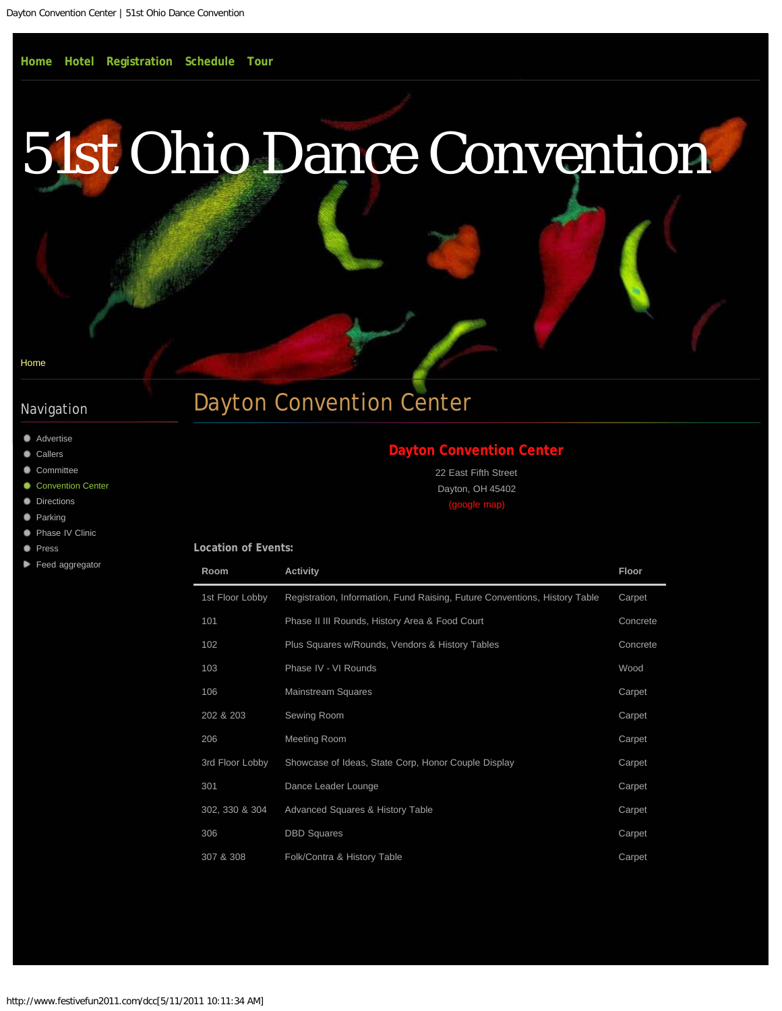# <span id="page-14-0"></span>[51st Ohio Dance Convention](#page-0-0)

#### [Home](#page-0-0)

## Navigation

- **[Advertise](#page-8-0)**
- **[Callers](#page-10-0)**
- [Committee](#page-12-0)
- ۰ [Convention Center](#page-14-0)
- **[Directions](#page-16-0)**
- **[Parking](#page-18-0)**
- **[Phase IV Clinic](#page-19-0)**
- **[Press](#page-21-0)**

#### [Feed aggregator](#page-23-0)

# Dayton Convention Center

## **[Dayton Convention Center](http://www.daytonconventioncenter.com/dcc/)**

22 East Fifth Street Dayton, OH 45402 [\(google map\)](http://maps.google.com/maps?hl=&q=22+East+Fifth+Street+Dayton,+OH+45402&rlz=1B7GGLL_enUS397US398&um=1&ie=UTF-8&hq=&hnear=22+E+5th+St,+Dayton,+OH+45402&gl=us&daddr=22%20E%205th%20St,%20Dayton,%20OH%2045402&ei=RrNiTZLPNc-Dtgec3uHcCw&sa=X&oi=geocode_result&ct=directions-to&resnum=1&ved=0CBUQwwUwAA)

| <b>Location of Events:</b> |  |  |
|----------------------------|--|--|
|                            |  |  |

| Room            | <b>Activity</b>                                                            | <b>Floor</b> |
|-----------------|----------------------------------------------------------------------------|--------------|
| 1st Floor Lobby | Registration, Information, Fund Raising, Future Conventions, History Table | Carpet       |
| 101             | Phase II III Rounds, History Area & Food Court                             | Concrete     |
| 102             | Plus Squares w/Rounds, Vendors & History Tables                            | Concrete     |
| 103             | Phase IV - VI Rounds                                                       | Wood         |
| 106             | <b>Mainstream Squares</b>                                                  | Carpet       |
| 202 & 203       | Sewing Room                                                                | Carpet       |
| 206             | <b>Meeting Room</b>                                                        | Carpet       |
| 3rd Floor Lobby | Showcase of Ideas, State Corp, Honor Couple Display                        | Carpet       |
| 301             | Dance Leader Lounge                                                        | Carpet       |
| 302, 330 & 304  | <b>Advanced Squares &amp; History Table</b>                                | Carpet       |
| 306             | <b>DBD</b> Squares                                                         | Carpet       |
| 307 & 308       | Folk/Contra & History Table                                                | Carpet       |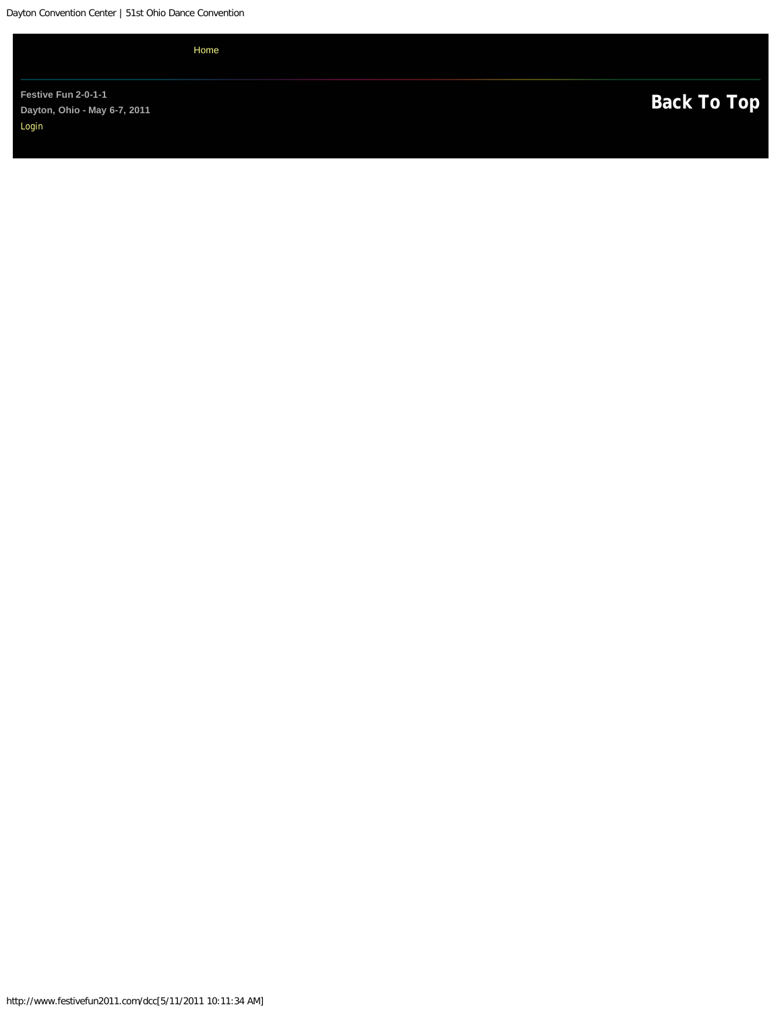<span id="page-15-0"></span>Dayton Convention Center | 51st Ohio Dance Convention

[Home](#page-0-0)

Festive Fun 2-0-1-1<br>Dayton, Ohio - May 6-7, 2011<br>**[Back To Top](#page-15-0) Dayton, Ohio - May 6-7, 2011**  [Login](#page-28-0)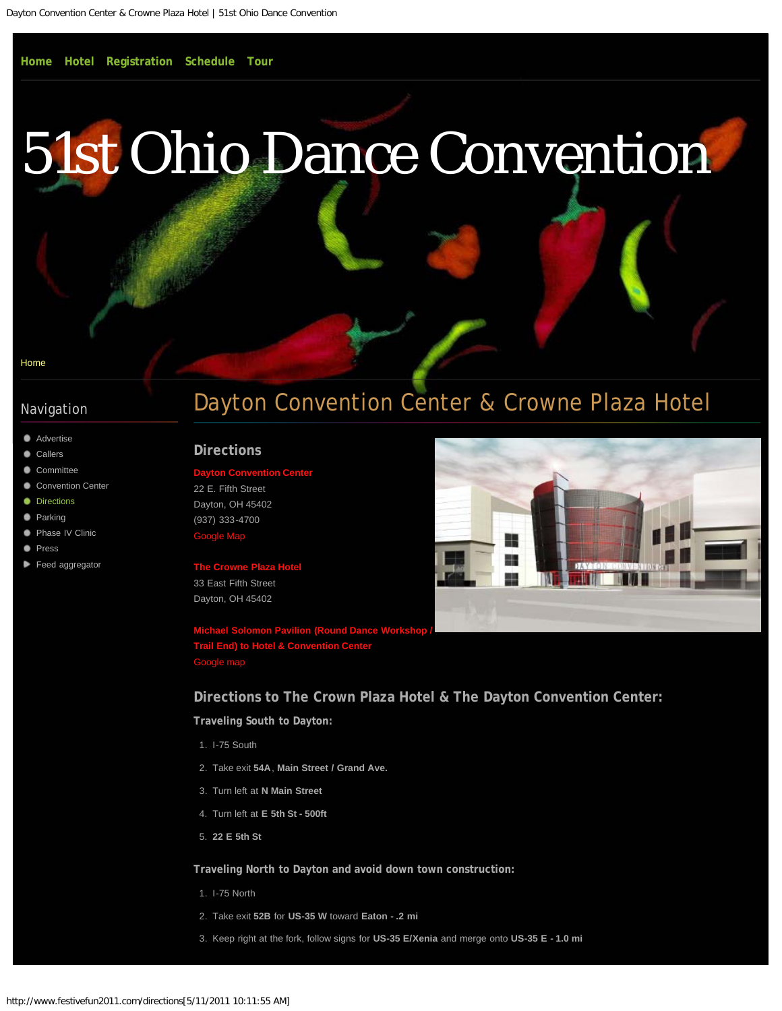# <span id="page-16-0"></span>[51st Ohio Dance Convention](#page-0-0)

#### [Home](#page-0-0)

#### Navigation

- **[Advertise](#page-8-0)**
- **[Callers](#page-10-0)**
- [Committee](#page-12-0)
- [Convention Center](#page-14-0)
- **[Directions](#page-16-0)**
- **[Parking](#page-18-0)**
- [Phase IV Clinic](#page-19-0) .
- **[Press](#page-21-0)**
- [Feed aggregator](#page-23-0)

# Dayton Convention Center & Crowne Plaza Hotel

#### **Directions**

## **Ryton Convention Cent**

22 E. Fifth Street Dayton, OH 45402 (937) 333-4700 [Google Map](http://maps.google.com/maps?oe=utf-8&um=1&ie=UTF-8&cid=0,0,1318719747461251897&fb=1&hq=Dayton+Convention+Center&hnear=Dayton+Convention+Center&gl=us&daddr=22+E.+Fifth+Street,+Dayton,+OH+45402&geocode=16651751093628143834,39.756801,-84.189542&ei=rJ9ITbb4FYTagQeb7dCDBg&sa=X&oi=local_result&ct=directions-to&resnum=2&ved=0CCkQngIwAQ)

**The Crowne Plaza Hote** 33 East Fifth Street Dayton, OH 45402

**[Michael Solomon Pavilion \(Round Dance Workshop /](http://maps.google.com/maps?f=d&source=s_d&saddr=2917+Berkley+Street,+Dayton,+OH+45409&daddr=39.7342289,-84.1946631+to:33+E+5th+St,+Dayton,+OH+45402&hl=en&geocode=FX7oXQIdqFn7-imJyFSmfoZAiDGGtYMroJxFYQ%3BFdRLXgIdmUr7-ikZ_5yZooZAiDEmZtWUqzmdZA%3BFTqlXgIdDFz7-ilB4HxlVIFAiDGVl4MK9eJkhQ&gl=us&mra=ls&sll=39.757114,-84.190196&sspn=0.00777,0.017402&g=33+E+5th+St,+Dayton,+OH+45402&ie=UTF8&z=13&via=1&dirflg=d) [Trail End\) to Hotel & Convention Center](http://maps.google.com/maps?f=d&source=s_d&saddr=2917+Berkley+Street,+Dayton,+OH+45409&daddr=39.7342289,-84.1946631+to:33+E+5th+St,+Dayton,+OH+45402&hl=en&geocode=FX7oXQIdqFn7-imJyFSmfoZAiDGGtYMroJxFYQ%3BFdRLXgIdmUr7-ikZ_5yZooZAiDEmZtWUqzmdZA%3BFTqlXgIdDFz7-ilB4HxlVIFAiDGVl4MK9eJkhQ&gl=us&mra=ls&sll=39.757114,-84.190196&sspn=0.00777,0.017402&g=33+E+5th+St,+Dayton,+OH+45402&ie=UTF8&z=13&via=1&dirflg=d)** [Google map](http://maps.google.com/maps?f=d&source=s_d&saddr=2917+Berkley+Street,+Dayton,+OH+45409&daddr=39.7342289,-84.1946631+to:33+E+5th+St,+Dayton,+OH+45402&hl=en&geocode=FX7oXQIdqFn7-imJyFSmfoZAiDGGtYMroJxFYQ%3BFdRLXgIdmUr7-ikZ_5yZooZAiDEmZtWUqzmdZA%3BFTqlXgIdDFz7-ilB4HxlVIFAiDGVl4MK9eJkhQ&gl=us&mra=ls&sll=39.757114,-84.190196&sspn=0.00777,0.017402&g=33+E+5th+St,+Dayton,+OH+45402&ie=UTF8&z=13&via=1&dirflg=d)

**Directions to The Crown Plaza Hotel & The Dayton Convention Center:**

**Traveling South to Dayton:**

- 1. I-75 South
- 2. Take exit **54A**, **Main Street / Grand Ave.**
- 3. Turn left at **N Main Street**
- 4. Turn left at **E 5th St 500ft**
- 5. **22 E 5th St**

**Traveling North to Dayton and avoid down town construction:**

- 1. I-75 North
- 2. Take exit **52B** for **US-35 W** toward **Eaton .2 mi**
- 3. Keep right at the fork, follow signs for **US-35 E/Xenia** and merge onto **US-35 E 1.0 mi**

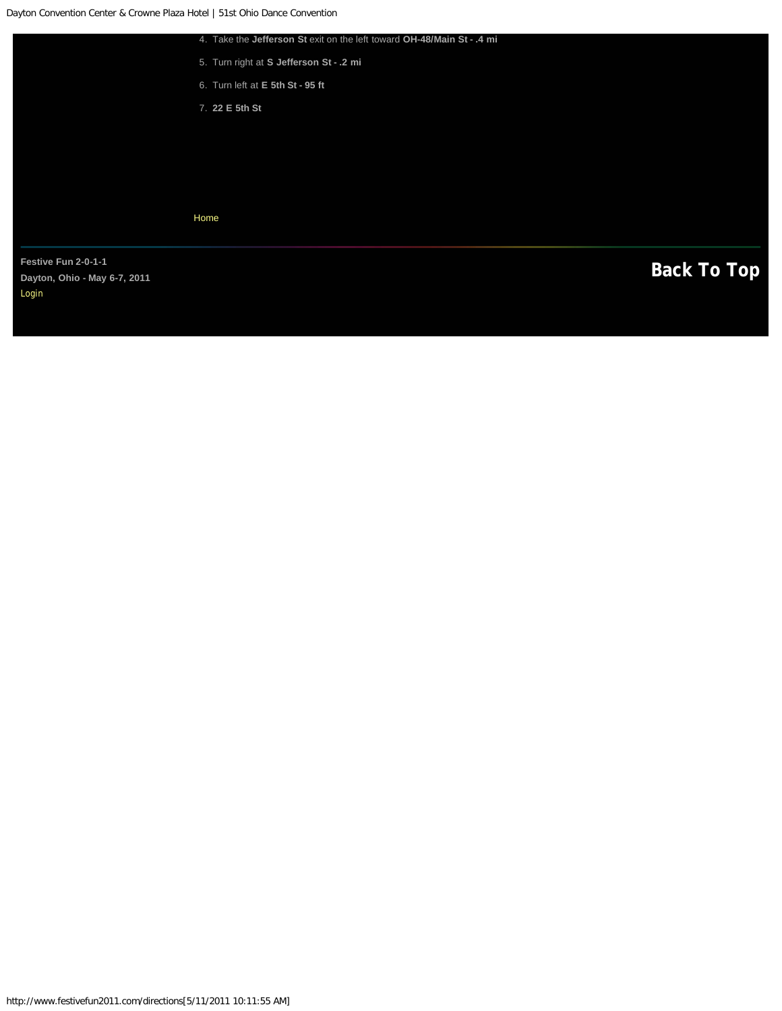<span id="page-17-0"></span>

|                                       | 4. Take the Jefferson St exit on the left toward OH-48/Main St - .4 mi |                    |
|---------------------------------------|------------------------------------------------------------------------|--------------------|
|                                       | 5. Turn right at S Jefferson St - . 2 mi                               |                    |
|                                       | 6. Turn left at E 5th St - 95 ft                                       |                    |
|                                       | 7. 22 E 5th St                                                         |                    |
|                                       |                                                                        |                    |
|                                       |                                                                        |                    |
|                                       |                                                                        |                    |
|                                       |                                                                        |                    |
|                                       | Home                                                                   |                    |
|                                       |                                                                        |                    |
| Festive Fun 2-0-1-1                   |                                                                        | <b>Back To Top</b> |
| Dayton, Ohio - May 6-7, 2011<br>Login |                                                                        |                    |
|                                       |                                                                        |                    |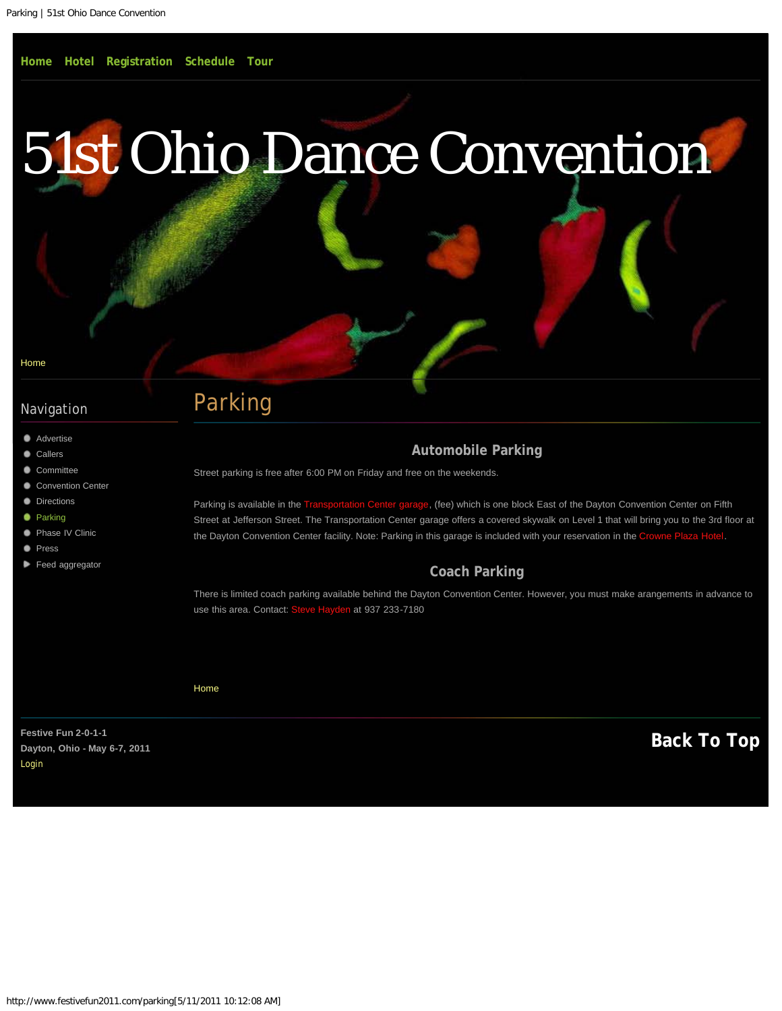<span id="page-18-0"></span>[Home](#page-0-0)

## Navigation

- **[Advertise](#page-8-0)**
- **[Callers](#page-10-0)**
- [Committee](#page-12-0)
- [Convention Center](#page-14-0)
- **[Directions](#page-16-0)**
- **O** [Parking](#page-18-0)
- **[Phase IV Clinic](#page-19-0)**
- **[Press](#page-21-0)**
- [Feed aggregator](#page-23-0)

# Parking

## **Automobile Parking**

Street parking is free after 6:00 PM on Friday and free on the weekends.

Parking is available in the [Transportation Center garage](http://www.daytonconventioncenter.com/dcc/parking.htm), (fee) which is one block East of the Dayton Convention Center on Fifth Street at Jefferson Street. The Transportation Center garage offers a covered skywalk on Level 1 that will bring you to the 3rd floor at the Dayton Convention Center facility. Note: Parking in this garage is included with your reservation in the [Crowne Plaza Hotel.](#page-2-0)

### **Coach Parking**

There is limited coach parking available behind the Dayton Convention Center. However, you must make arangements in advance to use this area. Contact: [Steve Hayden](mailto:steve@haydeninc.com?subject=Coach%20Parking%3A%20) at 937 233-7180

[Home](#page-0-0)

Festive Fun 2-0-1-1<br>Payton, Objo - May 6-7, 2011 **Dayton, Ohio - May 6-7, 2011**  [Login](#page-28-0)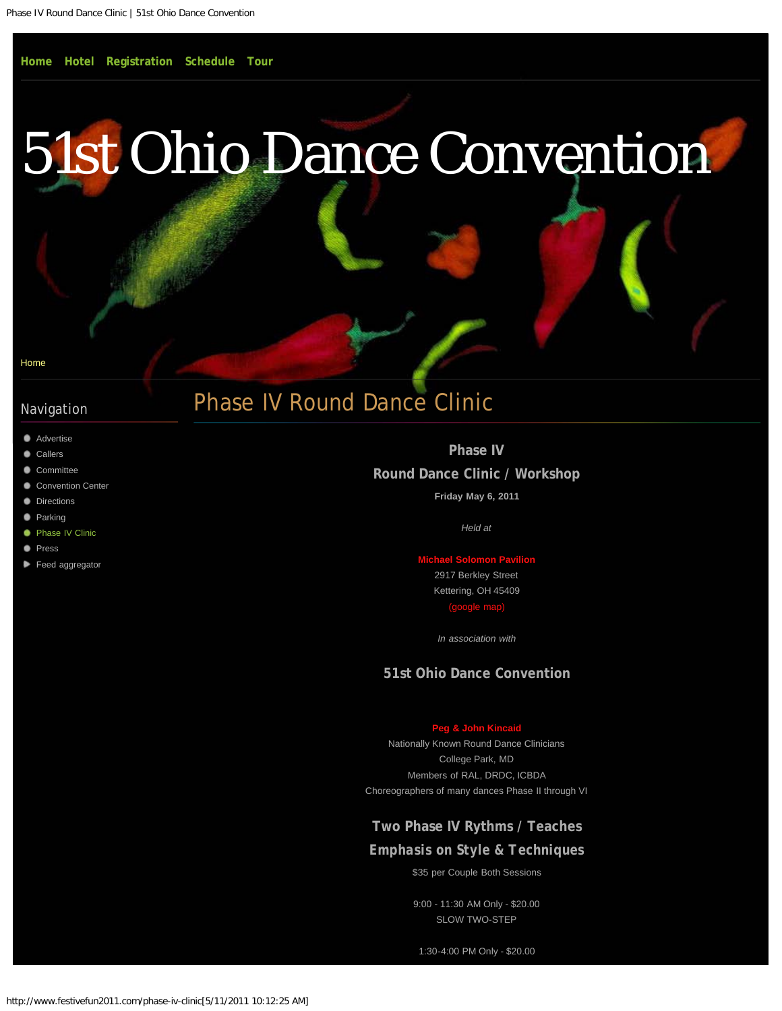# <span id="page-19-0"></span>[51st Ohio Dance Convention](#page-0-0)

[Home](#page-0-0)

## Navigation

- **[Advertise](#page-8-0)**
- [Callers](#page-10-0)
- [Committee](#page-12-0)
- [Convention Center](#page-14-0)
- **[Directions](#page-16-0)**
- **[Parking](#page-18-0)**
- **[Phase IV Clinic](#page-19-0)**
- **[Press](#page-21-0)**
- [Feed aggregator](#page-23-0)

# Phase IV Round Dance Clinic

**Phase IV Round Dance Clinic / Workshop Friday May 6, 2011**

*Held at*

**[Michael Solomon Pavilion](http://www.miamivalleydancecouncil.org/pavilion/pavilion.htm)** 2917 Berkley Street Kettering, OH 45409 [\(google map\)](http://maps.google.com/maps?hl=&q=2917+Berkley+Street+Kettering,+OH+45409&rlz=1B7GGLL_enUS397US398&um=1&ie=UTF-8&hq=&hnear=2917+Berkley+St,+Kettering,+OH+45409&gl=us&daddr=2917%20Berkley%20St,%20Kettering,%20OH%2045409&ei=1IxiTa7OOsu4tgf059n_Cw&sa=X&oi=geocode_result&ct=directions-to&resnum=1&ved=0CBUQwwUwAA)

*In association with*

#### **51st Ohio Dance Convention**

#### **[Peg & John Kincaid](http://www.dancerounds.info/kincaid/)**

Nationally Known Round Dance Clinicians College Park, MD Members of RAL, DRDC, ICBDA Choreographers of many dances Phase II through VI

### **Two Phase IV Rythms / Teaches**

### *Emphasis on Style & Techniques*

\$35 per Couple Both Sessions

9:00 - 11:30 AM Only - \$20.00 SLOW TWO-STEP

1:30-4:00 PM Only - \$20.00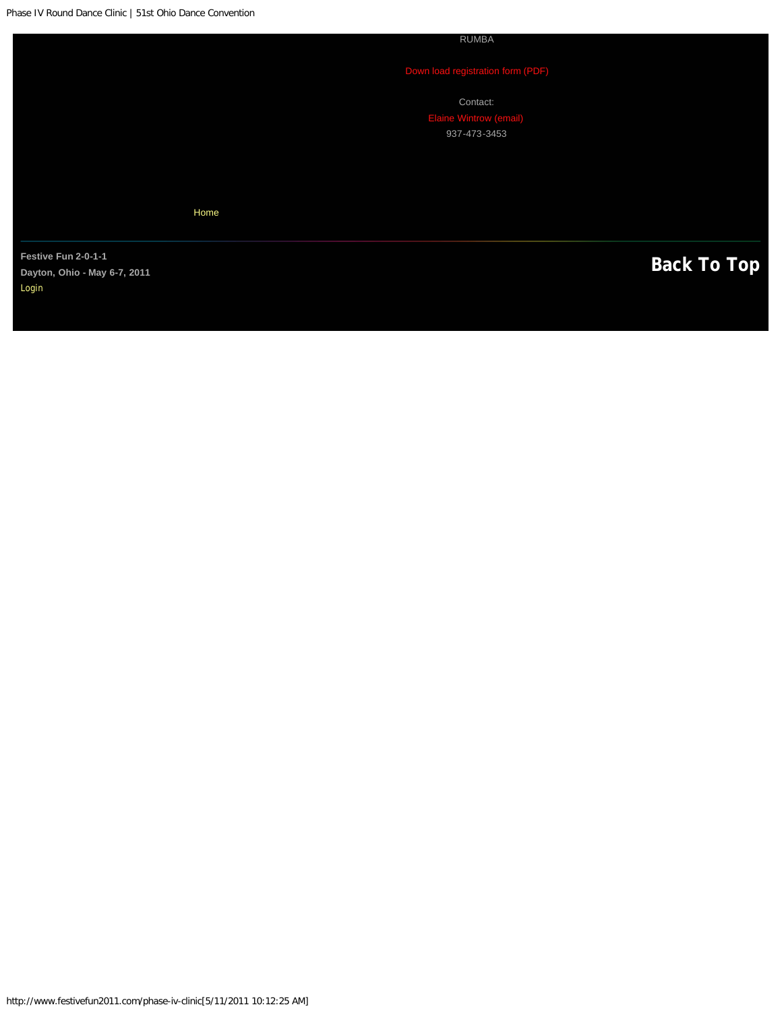<span id="page-20-0"></span>Phase IV Round Dance Clinic | 51st Ohio Dance Convention

RUMBA

Contact: 937-473-3453

[Home](#page-0-0)

Festive Fun 2-0-1-1<br>Dayton, Ohio - May 6-7, 2011 **Dayton, Ohio - May 6-7, 2011**  [Login](#page-28-0)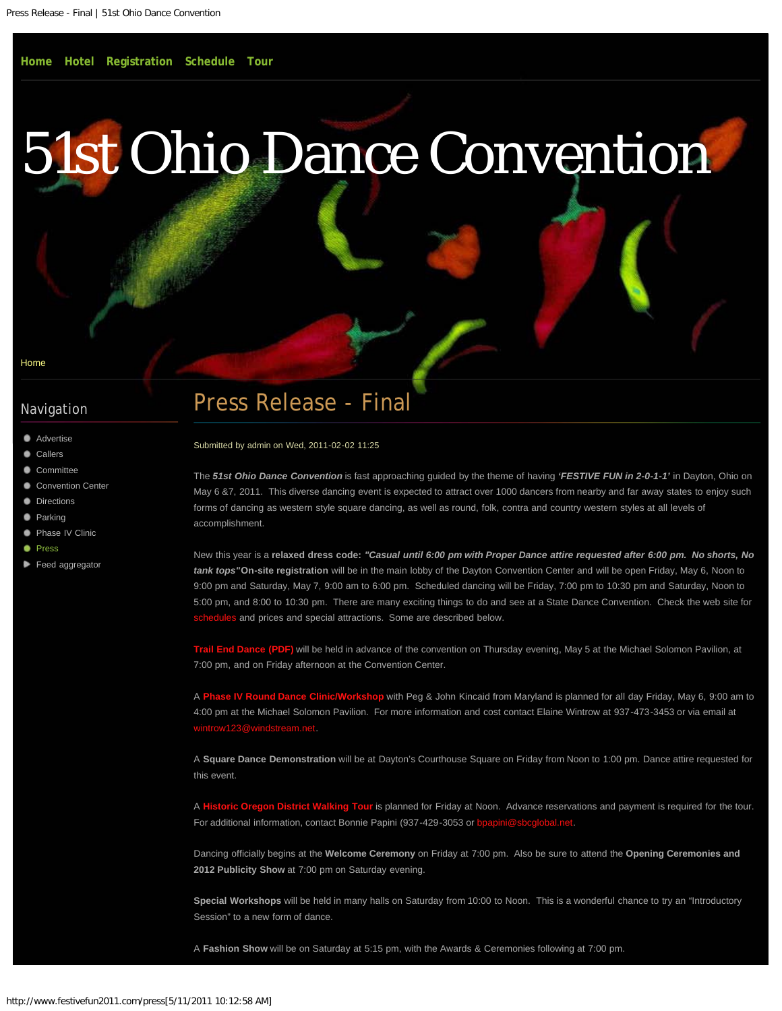# <span id="page-21-0"></span>[51st Ohio Dance Convention](#page-0-0)

[Home](#page-0-0)

### Navigation

- **[Advertise](#page-8-0)**
- [Callers](#page-10-0)
- [Committee](#page-12-0)
- [Convention Center](#page-14-0)
- **[Directions](#page-16-0)**
- **[Parking](#page-18-0)**
- **[Phase IV Clinic](#page-19-0)**
- **[Press](#page-21-0)**
- [Feed aggregator](#page-23-0)

# Press Release - Final

Submitted by admin on Wed, 2011-02-02 11:25

The *51st Ohio Dance Convention* is fast approaching guided by the theme of having *'FESTIVE FUN in 2-0-1-1'* in Dayton, Ohio on May 6 &7, 2011. This diverse dancing event is expected to attract over 1000 dancers from nearby and far away states to enjoy such forms of dancing as western style square dancing, as well as round, folk, contra and country western styles at all levels of accomplishment.

New this year is a **relaxed dress code:** *"Casual until 6:00 pm with Proper Dance attire requested after 6:00 pm. No shorts, No tank tops"***On-site registration** will be in the main lobby of the Dayton Convention Center and will be open Friday, May 6, Noon to 9:00 pm and Saturday, May 7, 9:00 am to 6:00 pm. Scheduled dancing will be Friday, 7:00 pm to 10:30 pm and Saturday, Noon to 5:00 pm, and 8:00 to 10:30 pm. There are many exciting things to do and see at a State Dance Convention. Check the web site for les and prices and special attractions. Some are described below.

**[Trail End Dance \(PDF\)](http://www.festivefun2011.com/sites/default/files/pdf/2011-trail-in-dance.pdf)** will be held in advance of the convention on Thursday evening, May 5 at the Michael Solomon Pavilion, at 7:00 pm, and on Friday afternoon at the Convention Center.

A **[Phase IV Round Dance Clinic/Workshop](#page-19-0)** with Peg & John Kincaid from Maryland is planned for all day Friday, May 6, 9:00 am to 4:00 pm at the Michael Solomon Pavilion. For more information and cost contact Elaine Wintrow at 937-473-3453 or via email at [wintrow123@windstream.net.](mailto:www.FestiveFun2011.com?subject=2011%3A%20Clinic%20)

A **Square Dance Demonstration** will be at Dayton's Courthouse Square on Friday from Noon to 1:00 pm. Dance attire requested for this event.

A **[Historic Oregon District Walking Tour](#page-7-0)** is planned for Friday at Noon. Advance reservations and payment is required for the tour. For additional information, contact Bonnie Papini (937-429-3053 or bp

Dancing officially begins at the **Welcome Ceremony** on Friday at 7:00 pm. Also be sure to attend the **Opening Ceremonies and 2012 Publicity Show** at 7:00 pm on Saturday evening.

**Special Workshops** will be held in many halls on Saturday from 10:00 to Noon. This is a wonderful chance to try an "Introductory Session" to a new form of dance.

A **Fashion Show** will be on Saturday at 5:15 pm, with the Awards & Ceremonies following at 7:00 pm.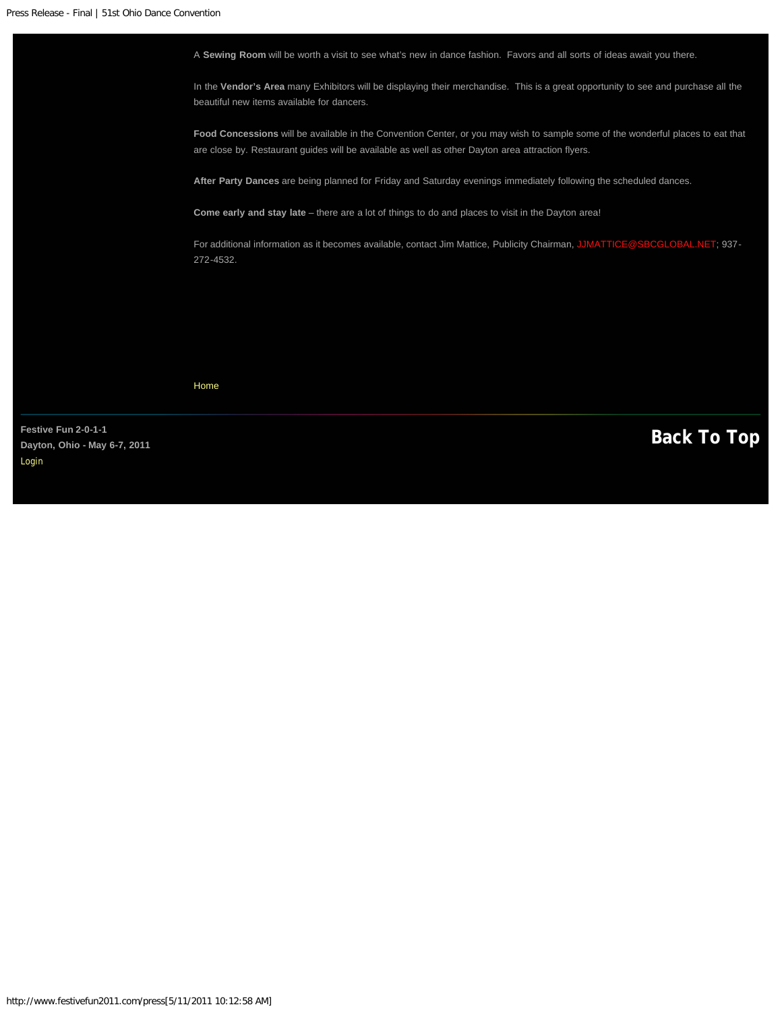

Festive Fun 2-0-1-1<br>Davton, Ohio - May 6-7, 2011 **Dayton, Ohio - May 6-7, 2011**  [Login](#page-28-0)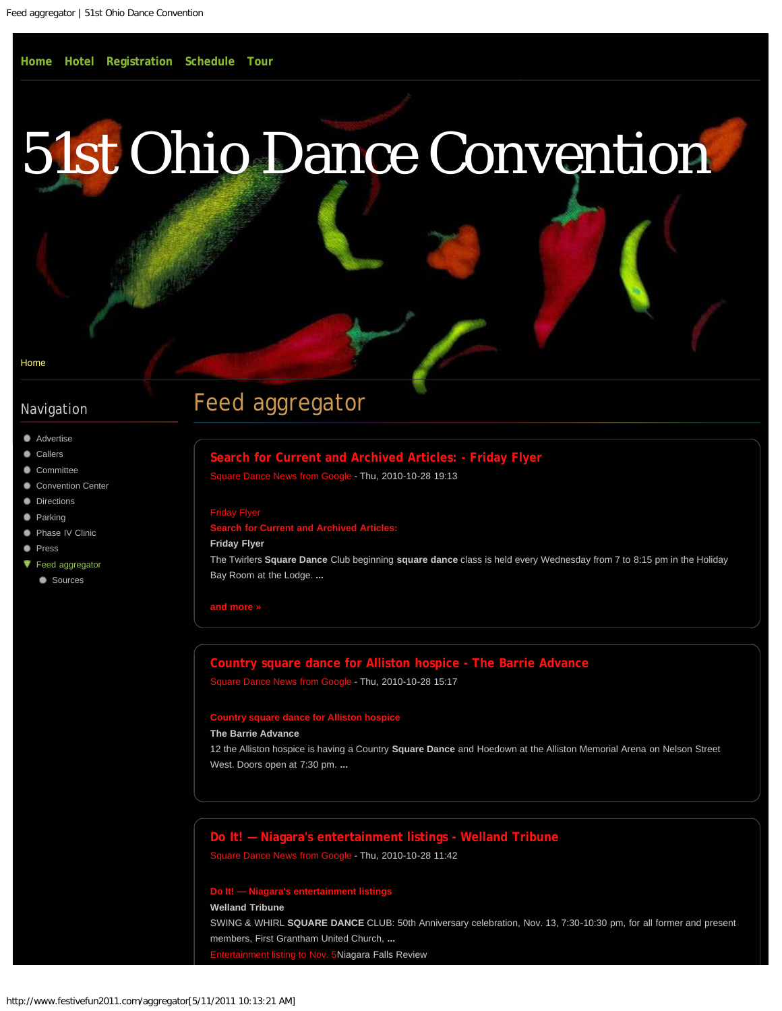# <span id="page-23-0"></span>[51st Ohio Dance Convention](#page-0-0)

#### [Home](#page-0-0)

### Navigation

- **[Advertise](#page-8-0)**
- [Callers](#page-10-0)
- [Committee](#page-12-0)
- [Convention Center](#page-14-0)
- **[Directions](#page-16-0)**
- **[Parking](#page-18-0)**
- **[Phase IV Clinic](#page-19-0)**
- **[Press](#page-21-0)**
- ▼ [Feed aggregator](#page-23-0)
- **[Sources](http://www.festivefun2011.com/aggregator/sources)**

# Feed aggregator

## **Rearch for Current and Archived Articles: - Friday Flyer**

are Dance News from Google - Thu, 2010-10-28 19:13

#### [Friday Flyer](http://news.google.com/news/url?sa=t&fd=R&usg=AFQjCNG2lOtpTmT9Oq6pm8LQ0wWbWsOo-A&url=http://www.thefridayflyer.com/FF-2010-10-29/FFS-15736.htm)

#### **h for Current and Archived Article**

#### **Friday Flyer**

The Twirlers **Square Dance** Club beginning **square dance** class is held every Wednesday from 7 to 8:15 pm in the Holiday Bay Room at the Lodge. **...**

#### **[and more](http://news.google.com/news/more?pz=1&ned=us&ncl=dgjWZXUKtMjtrfM) »**

## **[Country square dance for Alliston hospice - The Barrie Advance](http://news.google.com/news/url?sa=t&fd=R&usg=AFQjCNFCt1ggf6lEdESdhaqHQBkf5GHdew&url=http://www.simcoe.com/what)** e News from Google - Thu, 2010-10-28 15:17<br>.

#### **[Country square dance for Alliston hospice](http://news.google.com/news/url?sa=t&fd=R&usg=AFQjCNFCt1ggf6lEdESdhaqHQBkf5GHdew&url=http://www.simcoe.com/what)**

#### **The Barrie Advance**

12 the Alliston hospice is having a Country **Square Dance** and Hoedown at the Alliston Memorial Arena on Nelson Street West. Doors open at 7:30 pm. **...**

# **[Do It! — Niagara's entertainment listings - Welland Tribune](http://news.google.com/news/url?sa=t&fd=R&usg=AFQjCNE1jhetHZ4BR417cVEIjm-wAF69AA&url=http://www.wellandtribune.ca/ArticleDisplay.aspx?e%3D2821357)**

are Dance News from Google - Thu, 2010-10-28 11:42

#### **[Do It! — Niagara's entertainment listings](http://news.google.com/news/url?sa=t&fd=R&usg=AFQjCNE1jhetHZ4BR417cVEIjm-wAF69AA&url=http://www.wellandtribune.ca/ArticleDisplay.aspx?e%3D2821357)**

#### **Welland Tribune**

SWING & WHIRL **SQUARE DANCE** CLUB: 50th Anniversary celebration, Nov. 13, 7:30-10:30 pm, for all former and present members, First Grantham United Church, **...**

[Entertainment listing to Nov. 5N](http://news.google.com/news/url?sa=t&fd=R&usg=AFQjCNGwcR0TnucWzGq1ssz5lb5ZGlYJ3g&url=http://www.niagarafallsreview.ca/ArticleDisplay.aspx?e%3D2821208)iagara Falls Review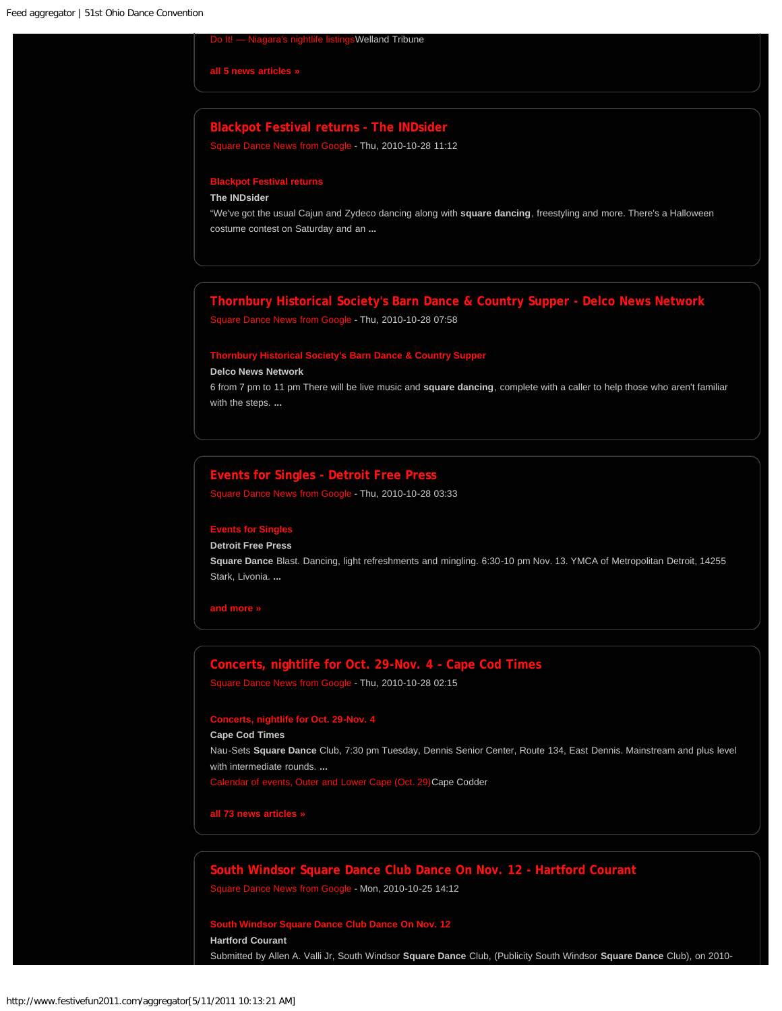#### **Welland Tribune**

**[all 5 news articles](http://news.google.com/news/more?pz=1&ned=us&ncl=dO0H-lO5WY-RI5Mskcb5ifZO-W1HM) »**

#### **[Blackpot Festival returns - The INDsider](http://news.google.com/news/url?sa=t&fd=R&usg=AFQjCNHEYW9Y7QMDiYuK4YwmboXS_WN3YQ&url=http://www.theind.com/arts-a-entertainment/86-aae/7188-blackpot-festival-returns)**

[Square Dance News from Google](http://www.festivefun2011.com/aggregator/sources/1) - Thu, 2010-10-28 11:12

## **[Blackpot Festival returns](http://news.google.com/news/url?sa=t&fd=R&usg=AFQjCNHEYW9Y7QMDiYuK4YwmboXS_WN3YQ&url=http://www.theind.com/arts-a-entertainment/86-aae/7188-blackpot-festival-returns)**

#### **The INDsider**

"We've got the usual Cajun and Zydeco dancing along with **square dancing**, freestyling and more. There's a Halloween costume contest on Saturday and an **...**

#### **[Thornbury Historical Society's Barn Dance & Country Supper - Delco News Network](http://news.google.com/news/url?sa=t&fd=R&usg=AFQjCNHNMJM7tbuFpN5fLMT6uYCMHSMuWQ&url=http://www.delconewsnetwork.com/articles/2010/10/27/garnet_valley_press/news/doc4cb49944cb675933311093.txt)**

[Square Dance News from Google](http://www.festivefun2011.com/aggregator/sources/1) - Thu, 2010-10-28 07:58

## **[Thornbury Historical Society's Barn Dance & Country Supper](http://news.google.com/news/url?sa=t&fd=R&usg=AFQjCNHNMJM7tbuFpN5fLMT6uYCMHSMuWQ&url=http://www.delconewsnetwork.com/articles/2010/10/27/garnet_valley_press/news/doc4cb49944cb675933311093.txt)**

#### **Delco News Network**

6 from 7 pm to 11 pm There will be live music and **square dancing**, complete with a caller to help those who aren't familiar with the steps. **...**

#### **[Events for Singles - Detroit Free Press](http://news.google.com/news/url?sa=t&fd=R&usg=AFQjCNFJ4R8mVzf74JCow2eeVmYo9DQf1A&url=http://www.freep.com/article/20101028/FEATURES01/10280325/1025/Features/Events-for-Singles)**

[Square Dance News from Google](http://www.festivefun2011.com/aggregator/sources/1) - Thu, 2010-10-28 03:33

#### **[Events for Singles](http://news.google.com/news/url?sa=t&fd=R&usg=AFQjCNFJ4R8mVzf74JCow2eeVmYo9DQf1A&url=http://www.freep.com/article/20101028/FEATURES01/10280325/1025/Features/Events-for-Singles)**

**Detroit Free Press**

**Square Dance** Blast. Dancing, light refreshments and mingling. 6:30-10 pm Nov. 13. YMCA of Metropolitan Detroit, 14255 Stark, Livonia. **...**

**[and more](http://news.google.com/news/more?pz=1&ned=us&ncl=dv56vp-lIH3PmgM) »**

### **[Concerts, nightlife for Oct. 29-Nov. 4 - Cape Cod Times](http://news.google.com/news/url?sa=t&fd=R&usg=AFQjCNHaGS25_mJgTadMWji5Bl_7nOGFww&url=http://www.capecodonline.com/apps/pbcs.dll/article?AID%3D/20101028/ENTERTAIN/101029759/-1/NEWSMAP)** [Square Dance News from Google](http://www.festivefun2011.com/aggregator/sources/1) - Thu, 2010-10-28 02:15

#### **[Concerts, nightlife for Oct. 29-Nov. 4](http://news.google.com/news/url?sa=t&fd=R&usg=AFQjCNHaGS25_mJgTadMWji5Bl_7nOGFww&url=http://www.capecodonline.com/apps/pbcs.dll/article?AID%3D/20101028/ENTERTAIN/101029759/-1/NEWSMAP)**

#### **Cape Cod Times**

Nau-Sets **Square Dance** Club, 7:30 pm Tuesday, Dennis Senior Center, Route 134, East Dennis. Mainstream and plus level with intermediate rounds. **...** ndar of events, Outer and Lower Cape (Oct. 29)Cape Codder

**[all 73 news articles](http://news.google.com/news/more?pz=1&ned=us&ncl=dbVXK7pG8De47aMlf8G3j1GaYnHbM) »**

# **[South Windsor Square Dance Club Dance On Nov. 12 - Hartford Courant](http://news.google.com/news/url?sa=t&fd=R&usg=AFQjCNFZk6kH4mMFn5KA3qEOS4r9mK-58Q&url=http://www.courant.com/community/hc-community-articleresults,0,5942637,results.formprofile?Query%3D37628HC)**

[Square Dance News from Google](http://www.festivefun2011.com/aggregator/sources/1) - Mon, 2010-10-25 14:12

# **[South Windsor Square Dance Club Dance On Nov. 12](http://news.google.com/news/url?sa=t&fd=R&usg=AFQjCNFZk6kH4mMFn5KA3qEOS4r9mK-58Q&url=http://www.courant.com/community/hc-community-articleresults,0,5942637,results.formprofile?Query%3D37628HC)**

**Hartford Courant**

Submitted by Allen A. Valli Jr, South Windsor **Square Dance** Club, (Publicity South Windsor **Square Dance** Club), on 2010-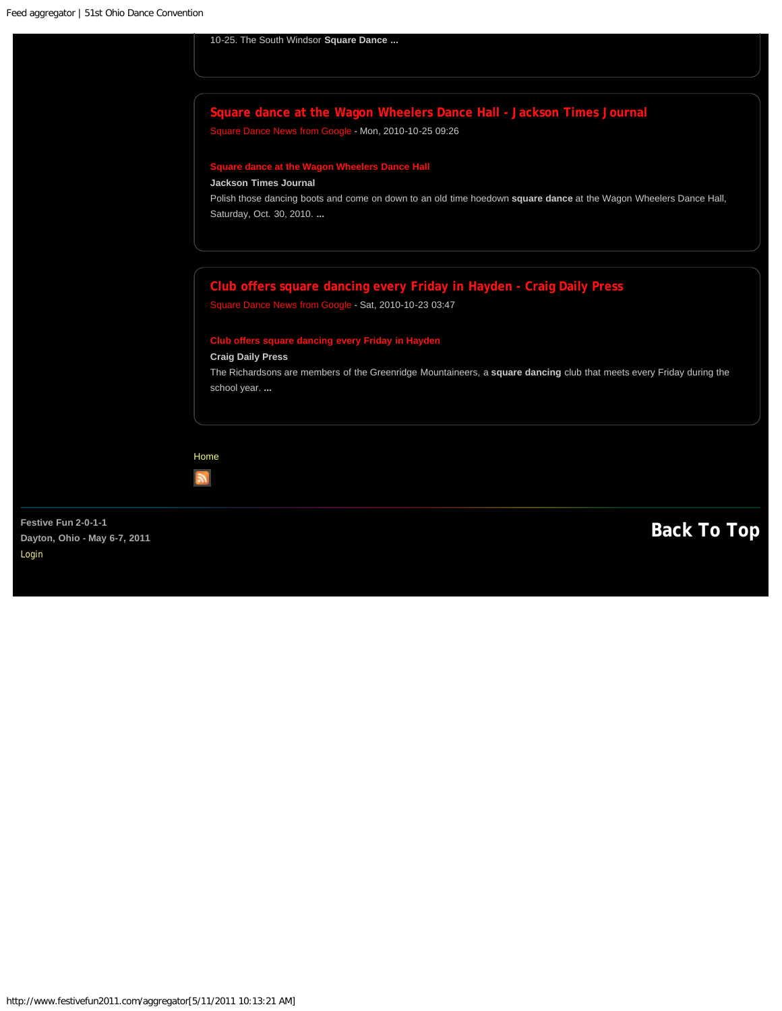[Login](#page-28-0)

<span id="page-25-0"></span>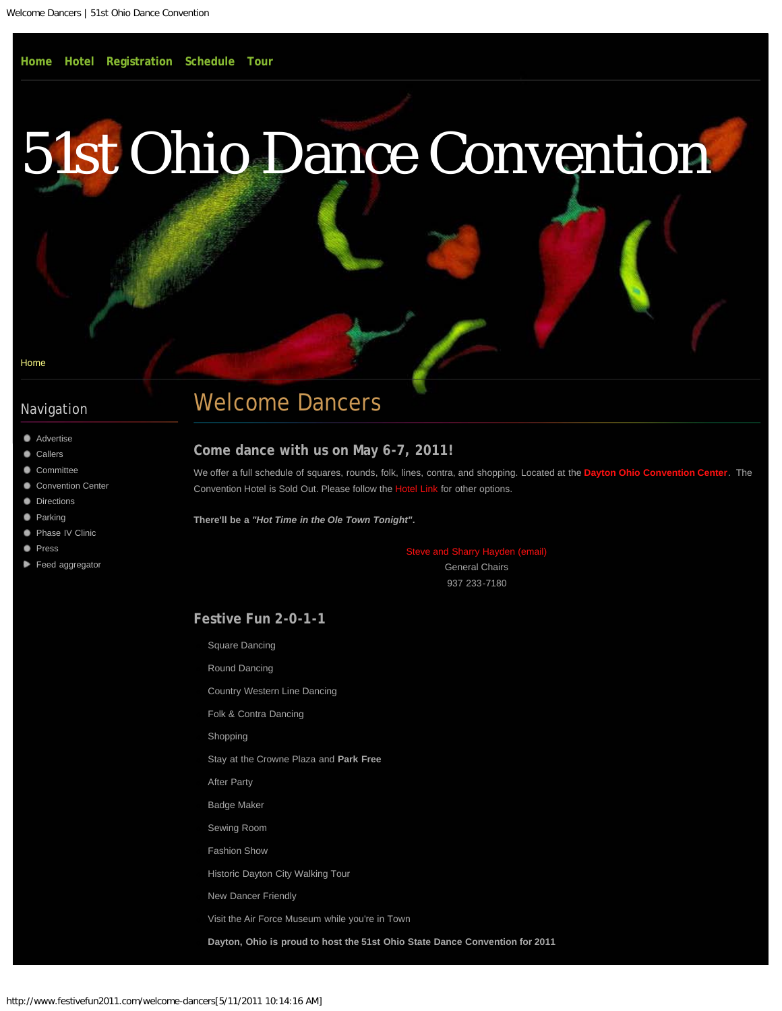#### <span id="page-26-0"></span>[Home](#page-0-0)

### Navigation

- **[Advertise](#page-8-0)**
- [Callers](#page-10-0)
- [Committee](#page-12-0)
- [Convention Center](#page-14-0)
- **[Directions](#page-16-0)**
- **[Parking](#page-18-0)**
- [Phase IV Clinic](#page-19-0) .
- **[Press](#page-21-0)**
- [Feed aggregator](#page-23-0)

# Welcome Dancers

#### **Come dance with us on May 6-7, 2011!**

We offer a full schedule of squares, rounds, folk, lines, contra, and shopping. Located at the **[Dayton Ohio Convention Center](#page-14-0)**. The Convention Hotel is Sold Out. Please follow the [Hotel Link](#page-2-0) for other options.

**There'll be a** *"Hot Time in the Ole Town Tonight"***.**

[Steve and Sharry Hayden \(email\)](mailto:steve@haydeninc.com?subject=2011%20Web%3A%20) General Chairs

937 233-7180

**Festive Fun 2-0-1-1**

Square Dancing

Round Dancing

Country Western Line Dancing

Folk & Contra Dancing

Shopping

Stay at the Crowne Plaza and **Park Free**

After Party

Badge Maker

Sewing Room

Fashion Show

Historic Dayton City Walking Tour

New Dancer Friendly

Visit the Air Force Museum while you're in Town

**Dayton, Ohio is proud to host the 51st Ohio State Dance Convention for 2011**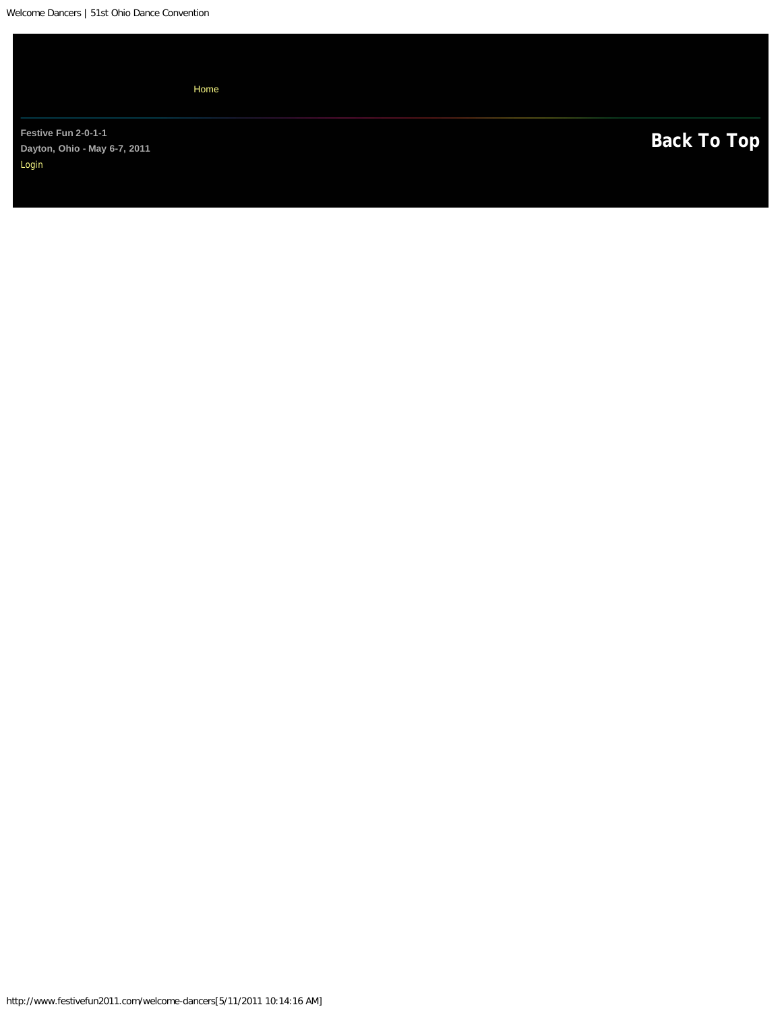|                                                              | Home |  |                    |
|--------------------------------------------------------------|------|--|--------------------|
| Festive Fun 2-0-1-1<br>Dayton, Ohio - May 6-7, 2011<br>Login |      |  | <b>Back To Top</b> |